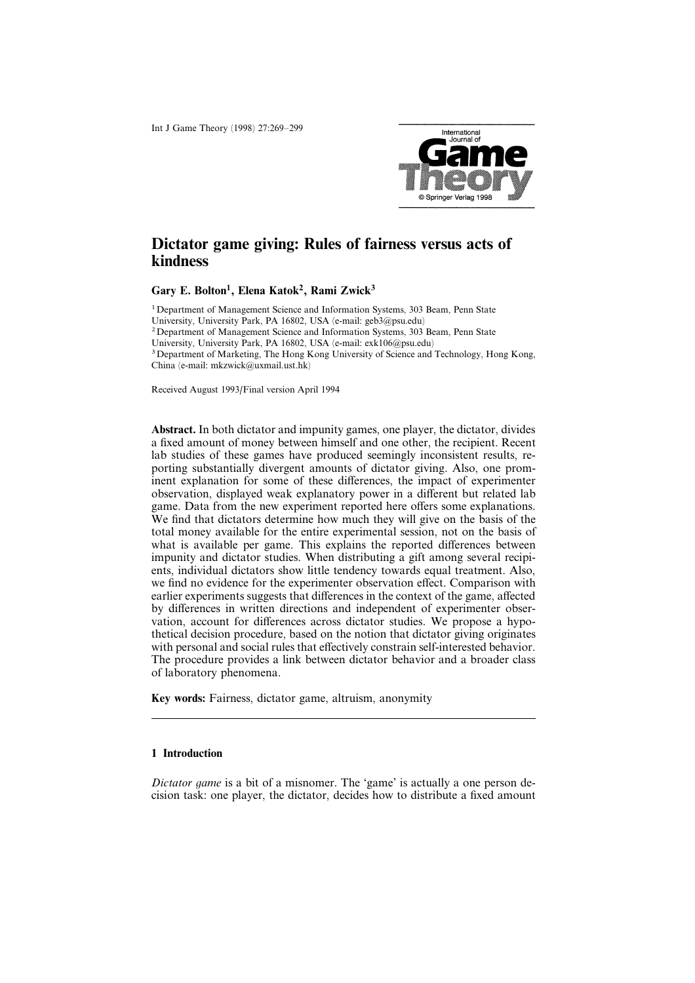Int J Game Theory (1998) 27:269-299



# Dictator game giving: Rules of fairness versus acts of kindness

# Gary E. Bolton<sup>1</sup>, Elena Katok<sup>2</sup>, Rami Zwick<sup>3</sup>

1Department of Management Science and Information Systems, 303 Beam, Penn State

University, University Park, PA 16802, USA (e-mail: geb3@psu.edu)

<sup>2</sup> Department of Management Science and Information Systems, 303 Beam, Penn State

University, University Park, PA 16802, USA (e-mail: exk106@psu.edu)

<sup>3</sup> Department of Marketing, The Hong Kong University of Science and Technology, Hong Kong, China (e-mail: mkzwick@uxmail.ust.hk)

Received August 1993/Final version April 1994

Abstract. In both dictator and impunity games, one player, the dictator, divides a fixed amount of money between himself and one other, the recipient. Recent lab studies of these games have produced seemingly inconsistent results, reporting substantially divergent amounts of dictator giving. Also, one prominent explanation for some of these differences, the impact of experimenter observation, displayed weak explanatory power in a different but related lab game. Data from the new experiment reported here offers some explanations. We find that dictators determine how much they will give on the basis of the total money available for the entire experimental session, not on the basis of what is available per game. This explains the reported differences between impunity and dictator studies. When distributing a gift among several recipients, individual dictators show little tendency towards equal treatment. Also, we find no evidence for the experimenter observation effect. Comparison with earlier experiments suggests that differences in the context of the game, affected by differences in written directions and independent of experimenter observation, account for differences across dictator studies. We propose a hypothetical decision procedure, based on the notion that dictator giving originates with personal and social rules that effectively constrain self-interested behavior. The procedure provides a link between dictator behavior and a broader class of laboratory phenomena.

Key words: Fairness, dictator game, altruism, anonymity

# 1 Introduction

Dictator game is a bit of a misnomer. The 'game' is actually a one person decision task: one player, the dictator, decides how to distribute a fixed amount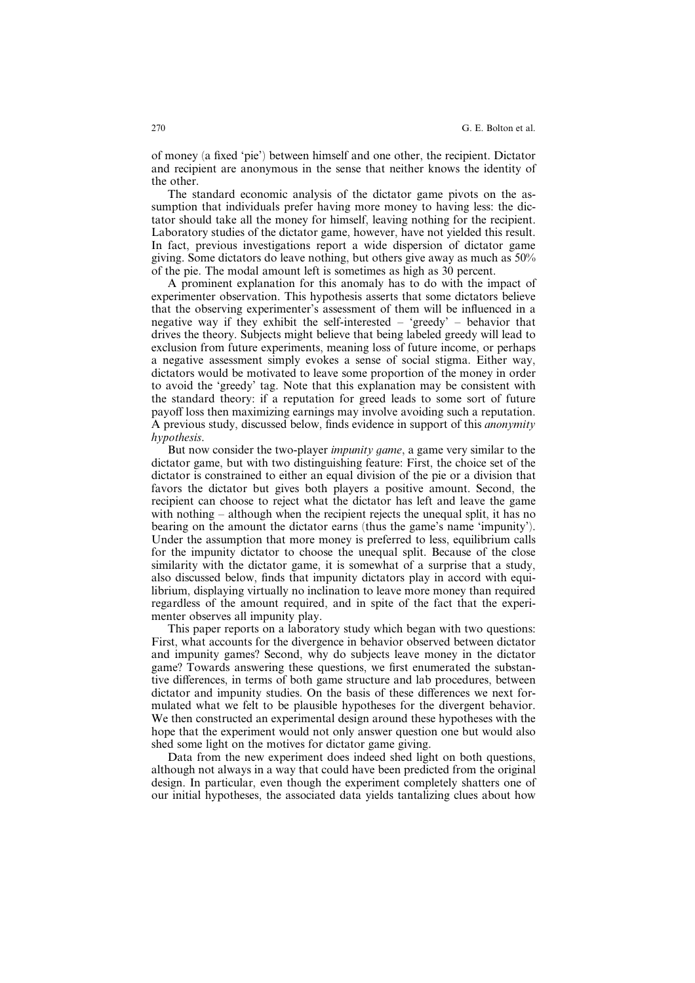of money (a fixed 'pie') between himself and one other, the recipient. Dictator and recipient are anonymous in the sense that neither knows the identity of the other.

The standard economic analysis of the dictator game pivots on the assumption that individuals prefer having more money to having less: the dictator should take all the money for himself, leaving nothing for the recipient. Laboratory studies of the dictator game, however, have not yielded this result. In fact, previous investigations report a wide dispersion of dictator game giving. Some dictators do leave nothing, but others give away as much as 50% of the pie. The modal amount left is sometimes as high as 30 percent.

A prominent explanation for this anomaly has to do with the impact of experimenter observation. This hypothesis asserts that some dictators believe that the observing experimenter's assessment of them will be influenced in a negative way if they exhibit the self-interested  $-$  'greedy'  $-$  behavior that drives the theory. Subjects might believe that being labeled greedy will lead to exclusion from future experiments, meaning loss of future income, or perhaps a negative assessment simply evokes a sense of social stigma. Either way, dictators would be motivated to leave some proportion of the money in order to avoid the `greedy' tag. Note that this explanation may be consistent with the standard theory: if a reputation for greed leads to some sort of future payoff loss then maximizing earnings may involve avoiding such a reputation. A previous study, discussed below, finds evidence in support of this *anonymity* hypothesis.

But now consider the two-player impunity game, a game very similar to the dictator game, but with two distinguishing feature: First, the choice set of the dictator is constrained to either an equal division of the pie or a division that favors the dictator but gives both players a positive amount. Second, the recipient can choose to reject what the dictator has left and leave the game with nothing  $-\alpha$  although when the recipient rejects the unequal split, it has no bearing on the amount the dictator earns (thus the game's name `impunity'). Under the assumption that more money is preferred to less, equilibrium calls for the impunity dictator to choose the unequal split. Because of the close similarity with the dictator game, it is somewhat of a surprise that a study, also discussed below, finds that impunity dictators play in accord with equilibrium, displaying virtually no inclination to leave more money than required regardless of the amount required, and in spite of the fact that the experimenter observes all impunity play.

This paper reports on a laboratory study which began with two questions: First, what accounts for the divergence in behavior observed between dictator and impunity games? Second, why do subjects leave money in the dictator game? Towards answering these questions, we first enumerated the substantive differences, in terms of both game structure and lab procedures, between dictator and impunity studies. On the basis of these differences we next formulated what we felt to be plausible hypotheses for the divergent behavior. We then constructed an experimental design around these hypotheses with the hope that the experiment would not only answer question one but would also shed some light on the motives for dictator game giving.

Data from the new experiment does indeed shed light on both questions, although not always in a way that could have been predicted from the original design. In particular, even though the experiment completely shatters one of our initial hypotheses, the associated data yields tantalizing clues about how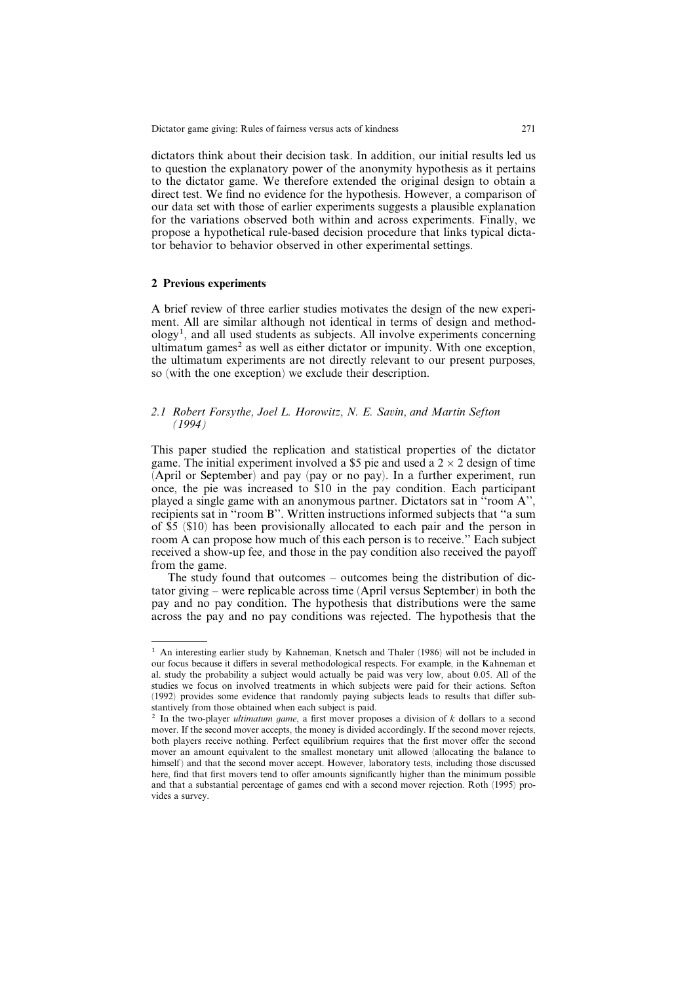dictators think about their decision task. In addition, our initial results led us to question the explanatory power of the anonymity hypothesis as it pertains to the dictator game. We therefore extended the original design to obtain a direct test. We find no evidence for the hypothesis. However, a comparison of our data set with those of earlier experiments suggests a plausible explanation for the variations observed both within and across experiments. Finally, we propose a hypothetical rule-based decision procedure that links typical dictator behavior to behavior observed in other experimental settings.

### 2 Previous experiments

A brief review of three earlier studies motivates the design of the new experiment. All are similar although not identical in terms of design and methodology1, and all used students as subjects. All involve experiments concerning ultimatum games<sup>2</sup> as well as either dictator or impunity. With one exception, the ultimatum experiments are not directly relevant to our present purposes, so (with the one exception) we exclude their description.

#### 2.1 Robert Forsythe, Joel L. Horowitz, N. E. Savin, and Martin Sefton (1994)

This paper studied the replication and statistical properties of the dictator game. The initial experiment involved a \$5 pie and used a  $2 \times 2$  design of time (April or September) and pay (pay or no pay). In a further experiment, run once, the pie was increased to \$10 in the pay condition. Each participant played a single game with an anonymous partner. Dictators sat in "room A", recipients sat in "room B". Written instructions informed subjects that "a sum of \$5 (\$10) has been provisionally allocated to each pair and the person in room A can propose how much of this each person is to receive.'' Each subject received a show-up fee, and those in the pay condition also received the payoff from the game.

The study found that outcomes  $-\overline{\ }$  outcomes being the distribution of dictator giving  $-$  were replicable across time (April versus September) in both the pay and no pay condition. The hypothesis that distributions were the same across the pay and no pay conditions was rejected. The hypothesis that the

 $<sup>1</sup>$  An interesting earlier study by Kahneman, Knetsch and Thaler (1986) will not be included in</sup> our focus because it differs in several methodological respects. For example, in the Kahneman et al. study the probability a subject would actually be paid was very low, about 0.05. All of the studies we focus on involved treatments in which subjects were paid for their actions. Sefton (1992) provides some evidence that randomly paying subjects leads to results that differ substantively from those obtained when each subject is paid.

<sup>&</sup>lt;sup>2</sup> In the two-player *ultimatum game*, a first mover proposes a division of  $k$  dollars to a second mover. If the second mover accepts, the money is divided accordingly. If the second mover rejects, both players receive nothing. Perfect equilibrium requires that the first mover offer the second mover an amount equivalent to the smallest monetary unit allowed (allocating the balance to himself) and that the second mover accept. However, laboratory tests, including those discussed here, find that first movers tend to offer amounts significantly higher than the minimum possible and that a substantial percentage of games end with a second mover rejection. Roth (1995) provides a survey.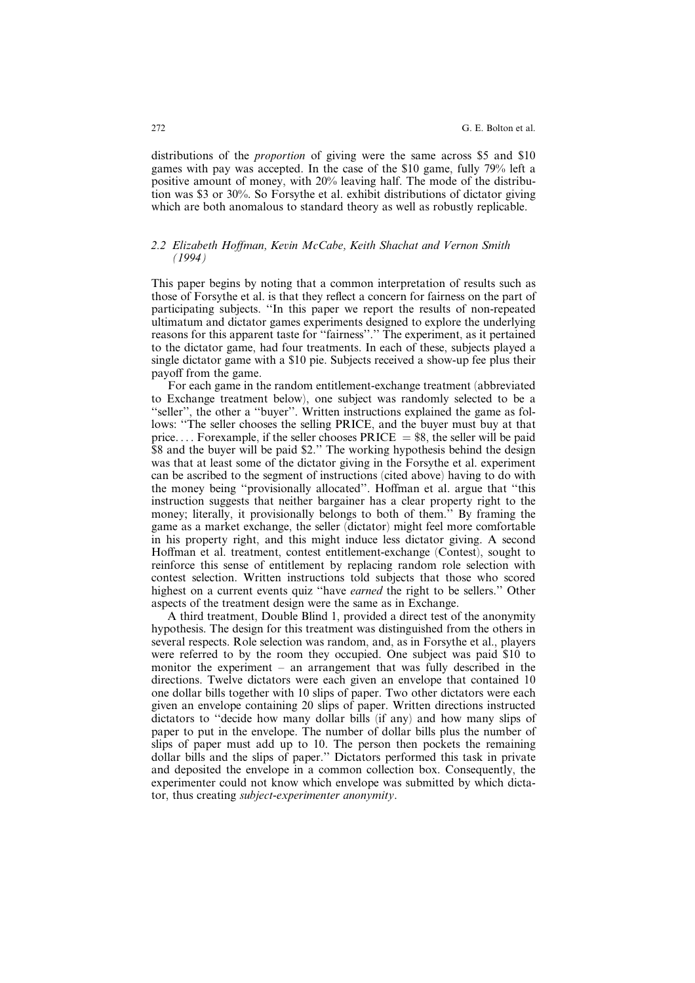distributions of the *proportion* of giving were the same across \$5 and \$10 games with pay was accepted. In the case of the \$10 game, fully 79% left a positive amount of money, with 20% leaving half. The mode of the distribution was \$3 or 30%. So Forsythe et al. exhibit distributions of dictator giving which are both anomalous to standard theory as well as robustly replicable.

# 2.2 Elizabeth Hoffman, Kevin McCabe, Keith Shachat and Vernon Smith (1994)

This paper begins by noting that a common interpretation of results such as those of Forsythe et al. is that they reflect a concern for fairness on the part of participating subjects. "In this paper we report the results of non-repeated ultimatum and dictator games experiments designed to explore the underlying reasons for this apparent taste for "fairness"." The experiment, as it pertained to the dictator game, had four treatments. In each of these, subjects played a single dictator game with a \$10 pie. Subjects received a show-up fee plus their payoff from the game.

For each game in the random entitlement-exchange treatment (abbreviated to Exchange treatment below), one subject was randomly selected to be a "seller", the other a "buyer". Written instructions explained the game as follows: "The seller chooses the selling PRICE, and the buyer must buy at that price.... For example, if the seller chooses  $PRICE = $8$ , the seller will be paid \$8 and the buyer will be paid \$2.'' The working hypothesis behind the design was that at least some of the dictator giving in the Forsythe et al. experiment can be ascribed to the segment of instructions (cited above) having to do with the money being "provisionally allocated". Hoffman et al. argue that "this instruction suggests that neither bargainer has a clear property right to the money; literally, it provisionally belongs to both of them.'' By framing the game as a market exchange, the seller (dictator) might feel more comfortable in his property right, and this might induce less dictator giving. A second Hoffman et al. treatment, contest entitlement-exchange (Contest), sought to reinforce this sense of entitlement by replacing random role selection with contest selection. Written instructions told subjects that those who scored highest on a current events quiz "have *earned* the right to be sellers." Other aspects of the treatment design were the same as in Exchange.

A third treatment, Double Blind 1, provided a direct test of the anonymity hypothesis. The design for this treatment was distinguished from the others in several respects. Role selection was random, and, as in Forsythe et al., players were referred to by the room they occupied. One subject was paid \$10 to monitor the experiment  $-$  an arrangement that was fully described in the directions. Twelve dictators were each given an envelope that contained 10 one dollar bills together with 10 slips of paper. Two other dictators were each given an envelope containing 20 slips of paper. Written directions instructed dictators to "decide how many dollar bills (if any) and how many slips of paper to put in the envelope. The number of dollar bills plus the number of slips of paper must add up to 10. The person then pockets the remaining dollar bills and the slips of paper.'' Dictators performed this task in private and deposited the envelope in a common collection box. Consequently, the experimenter could not know which envelope was submitted by which dictator, thus creating subject-experimenter anonymity.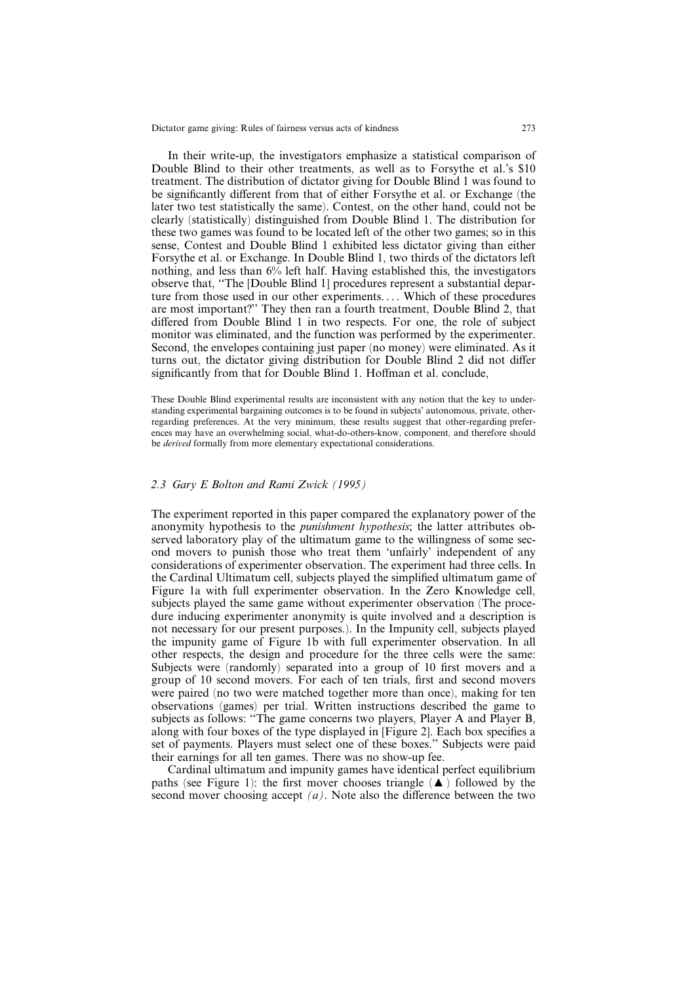In their write-up, the investigators emphasize a statistical comparison of Double Blind to their other treatments, as well as to Forsythe et al.'s \$10 treatment. The distribution of dictator giving for Double Blind 1 was found to be significantly different from that of either Forsythe et al. or Exchange (the later two test statistically the same). Contest, on the other hand, could not be clearly (statistically) distinguished from Double Blind 1. The distribution for these two games was found to be located left of the other two games; so in this sense, Contest and Double Blind 1 exhibited less dictator giving than either Forsythe et al. or Exchange. In Double Blind 1, two thirds of the dictators left nothing, and less than 6% left half. Having established this, the investigators observe that, "The [Double Blind 1] procedures represent a substantial departure from those used in our other experiments.... Which of these procedures are most important?'' They then ran a fourth treatment, Double Blind 2, that differed from Double Blind 1 in two respects. For one, the role of subject monitor was eliminated, and the function was performed by the experimenter. Second, the envelopes containing just paper (no money) were eliminated. As it turns out, the dictator giving distribution for Double Blind 2 did not differ significantly from that for Double Blind 1. Hoffman et al. conclude,

These Double Blind experimental results are inconsistent with any notion that the key to understanding experimental bargaining outcomes is to be found in subjects' autonomous, private, otherregarding preferences. At the very minimum, these results suggest that other-regarding preferences may have an overwhelming social, what-do-others-know, component, and therefore should be derived formally from more elementary expectational considerations.

# 2.3 Gary E Bolton and Rami Zwick (1995)

The experiment reported in this paper compared the explanatory power of the anonymity hypothesis to the punishment hypothesis; the latter attributes observed laboratory play of the ultimatum game to the willingness of some second movers to punish those who treat them `unfairly' independent of any considerations of experimenter observation. The experiment had three cells. In the Cardinal Ultimatum cell, subjects played the simplified ultimatum game of Figure 1a with full experimenter observation. In the Zero Knowledge cell, subjects played the same game without experimenter observation (The procedure inducing experimenter anonymity is quite involved and a description is not necessary for our present purposes.). In the Impunity cell, subjects played the impunity game of Figure 1b with full experimenter observation. In all other respects, the design and procedure for the three cells were the same: Subjects were (randomly) separated into a group of 10 first movers and a group of 10 second movers. For each of ten trials, first and second movers were paired (no two were matched together more than once), making for ten observations (games) per trial. Written instructions described the game to subjects as follows: "The game concerns two players, Player A and Player B, along with four boxes of the type displayed in [Figure 2]. Each box specifies a set of payments. Players must select one of these boxes.'' Subjects were paid their earnings for all ten games. There was no show-up fee.

Cardinal ultimatum and impunity games have identical perfect equilibrium paths (see Figure 1): the first mover chooses triangle  $(\triangle)$  followed by the second mover choosing accept  $(a)$ . Note also the difference between the two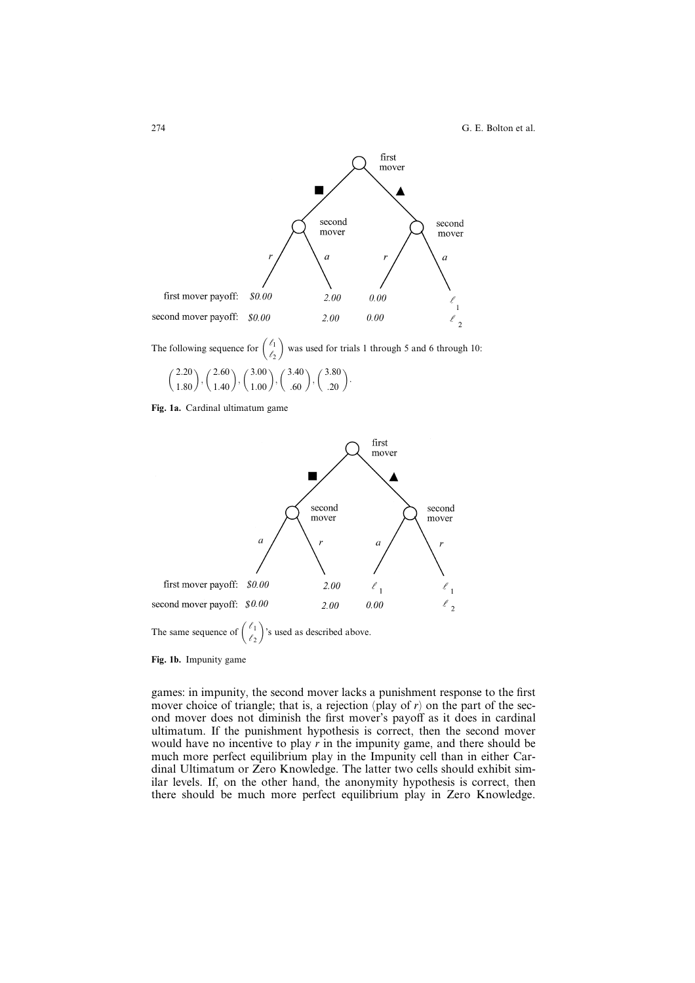

The following sequence for  $\begin{pmatrix} \ell_1 \\ \ell_2 \end{pmatrix}$  was used for trials 1 through 5 and 6 through 10:

$$
\binom{2.20}{1.80}, \binom{2.60}{1.40}, \binom{3.00}{1.00}, \binom{3.40}{.60}, \binom{3.80}{.20}.
$$

Fig. 1a. Cardinal ultimatum game



Fig. 1b. Impunity game

games: in impunity, the second mover lacks a punishment response to the first mover choice of triangle; that is, a rejection (play of  $r$ ) on the part of the second mover does not diminish the first mover's payoff as it does in cardinal ultimatum. If the punishment hypothesis is correct, then the second mover would have no incentive to play  $r$  in the impunity game, and there should be much more perfect equilibrium play in the Impunity cell than in either Cardinal Ultimatum or Zero Knowledge. The latter two cells should exhibit similar levels. If, on the other hand, the anonymity hypothesis is correct, then there should be much more perfect equilibrium play in Zero Knowledge.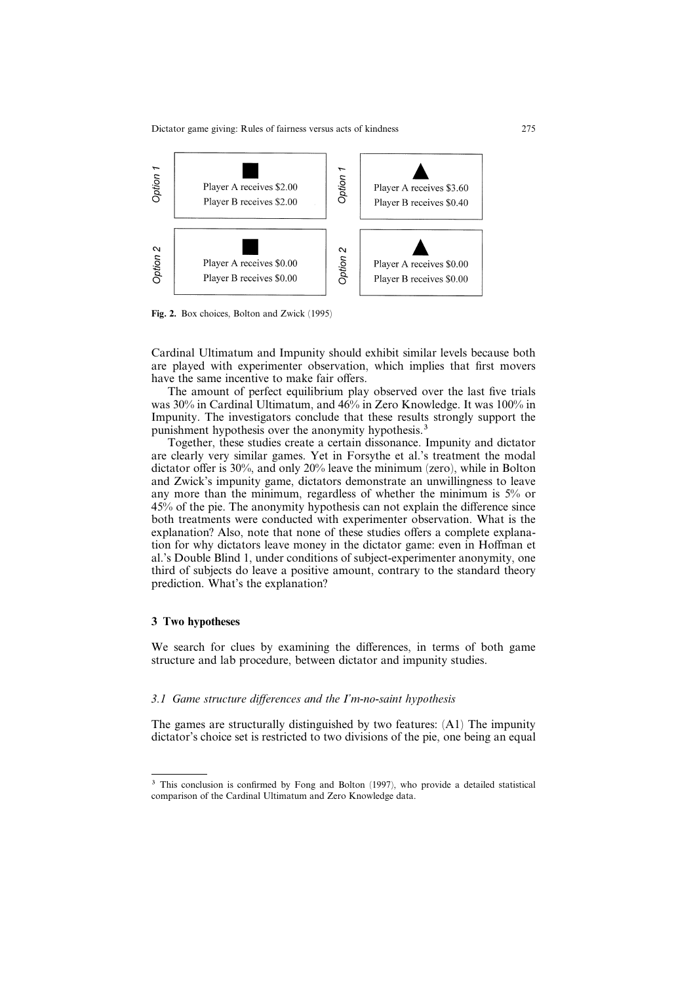

Fig. 2. Box choices, Bolton and Zwick (1995)

Cardinal Ultimatum and Impunity should exhibit similar levels because both are played with experimenter observation, which implies that first movers have the same incentive to make fair offers.

The amount of perfect equilibrium play observed over the last five trials was 30% in Cardinal Ultimatum, and 46% in Zero Knowledge. It was 100% in Impunity. The investigators conclude that these results strongly support the punishment hypothesis over the anonymity hypothesis.<sup>3</sup>

Together, these studies create a certain dissonance. Impunity and dictator are clearly very similar games. Yet in Forsythe et al.'s treatment the modal dictator offer is  $30\%$ , and only  $20\%$  leave the minimum (zero), while in Bolton and Zwick's impunity game, dictators demonstrate an unwillingness to leave any more than the minimum, regardless of whether the minimum is 5% or  $45%$  of the pie. The anonymity hypothesis can not explain the difference since both treatments were conducted with experimenter observation. What is the explanation? Also, note that none of these studies offers a complete explanation for why dictators leave money in the dictator game: even in Hoffman et al.'s Double Blind 1, under conditions of subject-experimenter anonymity, one third of subjects do leave a positive amount, contrary to the standard theory prediction. What's the explanation?

# 3 Two hypotheses

We search for clues by examining the differences, in terms of both game structure and lab procedure, between dictator and impunity studies.

# 3.1 Game structure differences and the  $\Gamma$ m-no-saint hypothesis

The games are structurally distinguished by two features: (A1) The impunity dictator's choice set is restricted to two divisions of the pie, one being an equal

<sup>&</sup>lt;sup>3</sup> This conclusion is confirmed by Fong and Bolton (1997), who provide a detailed statistical comparison of the Cardinal Ultimatum and Zero Knowledge data.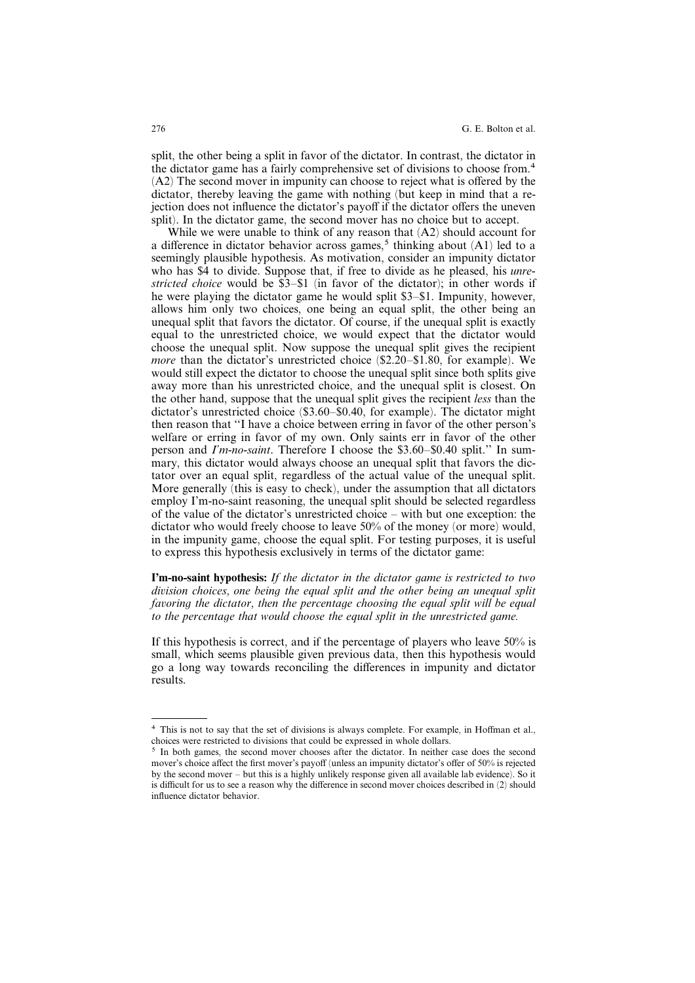split, the other being a split in favor of the dictator. In contrast, the dictator in the dictator game has a fairly comprehensive set of divisions to choose from.4  $(A2)$  The second mover in impunity can choose to reject what is offered by the dictator, thereby leaving the game with nothing (but keep in mind that a rejection does not influence the dictator's payoff if the dictator offers the uneven split). In the dictator game, the second mover has no choice but to accept.

While we were unable to think of any reason that  $(A2)$  should account for a difference in dictator behavior across games,<sup>5</sup> thinking about  $(A1)$  led to a seemingly plausible hypothesis. As motivation, consider an impunity dictator who has \$4 to divide. Suppose that, if free to divide as he pleased, his *unre*stricted choice would be  $$3-$1$  (in favor of the dictator); in other words if he were playing the dictator game he would split \$3–\$1. Impunity, however, allows him only two choices, one being an equal split, the other being an unequal split that favors the dictator. Of course, if the unequal split is exactly equal to the unrestricted choice, we would expect that the dictator would choose the unequal split. Now suppose the unequal split gives the recipient *more* than the dictator's unrestricted choice  $(\$2.20-\$1.80$ , for example). We would still expect the dictator to choose the unequal split since both splits give away more than his unrestricted choice, and the unequal split is closest. On the other hand, suppose that the unequal split gives the recipient less than the dictator's unrestricted choice (\$3.60-\$0.40, for example). The dictator might then reason that "I have a choice between erring in favor of the other person's welfare or erring in favor of my own. Only saints err in favor of the other person and  $\Gamma m$ -no-saint. Therefore I choose the \$3.60-\$0.40 split." In summary, this dictator would always choose an unequal split that favors the dictator over an equal split, regardless of the actual value of the unequal split. More generally (this is easy to check), under the assumption that all dictators employ I'm-no-saint reasoning, the unequal split should be selected regardless of the value of the dictator's unrestricted choice  $-\text{ with but one exception: the}$ dictator who would freely choose to leave 50% of the money (or more) would, in the impunity game, choose the equal split. For testing purposes, it is useful to express this hypothesis exclusively in terms of the dictator game:

**I'm-no-saint hypothesis:** If the dictator in the dictator game is restricted to two division choices, one being the equal split and the other being an unequal split favoring the dictator, then the percentage choosing the equal split will be equal to the percentage that would choose the equal split in the unrestricted game.

If this hypothesis is correct, and if the percentage of players who leave 50% is small, which seems plausible given previous data, then this hypothesis would go a long way towards reconciling the differences in impunity and dictator results.

<sup>&</sup>lt;sup>4</sup> This is not to say that the set of divisions is always complete. For example, in Hoffman et al., choices were restricted to divisions that could be expressed in whole dollars.

<sup>&</sup>lt;sup>5</sup> In both games, the second mover chooses after the dictator. In neither case does the second mover's choice affect the first mover's payoff (unless an impunity dictator's offer of 50% is rejected by the second mover – but this is a highly unlikely response given all available lab evidence). So it is difficult for us to see a reason why the difference in second mover choices described in (2) should influence dictator behavior.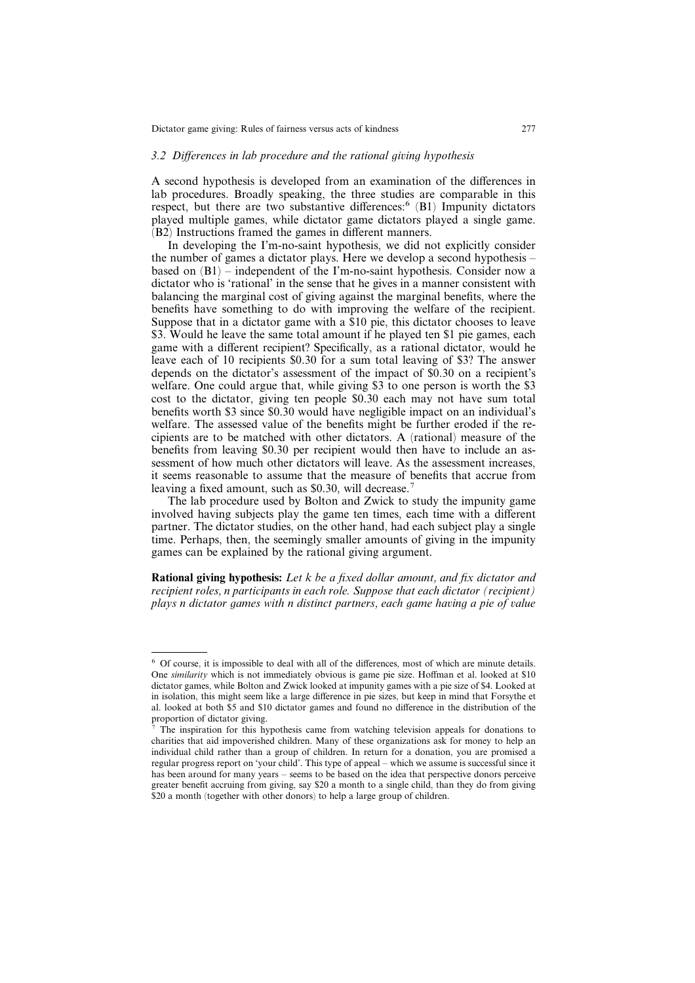#### $3.2$  Differences in lab procedure and the rational giving hypothesis

A second hypothesis is developed from an examination of the differences in lab procedures. Broadly speaking, the three studies are comparable in this respect, but there are two substantive differences: $6$  (B1) Impunity dictators played multiple games, while dictator game dictators played a single game.  $(B2)$  Instructions framed the games in different manners.

In developing the I'm-no-saint hypothesis, we did not explicitly consider the number of games a dictator plays. Here we develop a second hypothesis  $$ based on  $(B1)$  – independent of the I'm-no-saint hypothesis. Consider now a dictator who is 'rational' in the sense that he gives in a manner consistent with balancing the marginal cost of giving against the marginal benefits, where the benefits have something to do with improving the welfare of the recipient. Suppose that in a dictator game with a \$10 pie, this dictator chooses to leave \$3. Would he leave the same total amount if he played ten \$1 pie games, each game with a different recipient? Specifically, as a rational dictator, would he leave each of 10 recipients \$0.30 for a sum total leaving of \$3? The answer depends on the dictator's assessment of the impact of \$0.30 on a recipient's welfare. One could argue that, while giving \$3 to one person is worth the \$3 cost to the dictator, giving ten people \$0.30 each may not have sum total benefits worth \$3 since \$0.30 would have negligible impact on an individual's welfare. The assessed value of the benefits might be further eroded if the recipients are to be matched with other dictators. A (rational) measure of the benefits from leaving \$0.30 per recipient would then have to include an assessment of how much other dictators will leave. As the assessment increases, it seems reasonable to assume that the measure of benefits that accrue from leaving a fixed amount, such as  $$0.30$ , will decrease.<sup>7</sup>

The lab procedure used by Bolton and Zwick to study the impunity game involved having subjects play the game ten times, each time with a different partner. The dictator studies, on the other hand, had each subject play a single time. Perhaps, then, the seemingly smaller amounts of giving in the impunity games can be explained by the rational giving argument.

Rational giving hypothesis: Let  $k$  be a fixed dollar amount, and fix dictator and recipient roles, n participants in each role. Suppose that each dictator (recipient) plays n dictator games with n distinct partners, each game having a pie of value

 $6$  Of course, it is impossible to deal with all of the differences, most of which are minute details. One similarity which is not immediately obvious is game pie size. Hoffman et al. looked at \$10 dictator games, while Bolton and Zwick looked at impunity games with a pie size of \$4. Looked at in isolation, this might seem like a large difference in pie sizes, but keep in mind that Forsythe et al. looked at both \$5 and \$10 dictator games and found no difference in the distribution of the proportion of dictator giving.

<sup>7</sup> The inspiration for this hypothesis came from watching television appeals for donations to charities that aid impoverished children. Many of these organizations ask for money to help an individual child rather than a group of children. In return for a donation, you are promised a regular progress report on 'your child'. This type of appeal – which we assume is successful since it has been around for many years – seems to be based on the idea that perspective donors perceive greater benefit accruing from giving, say \$20 a month to a single child, than they do from giving \$20 a month (together with other donors) to help a large group of children.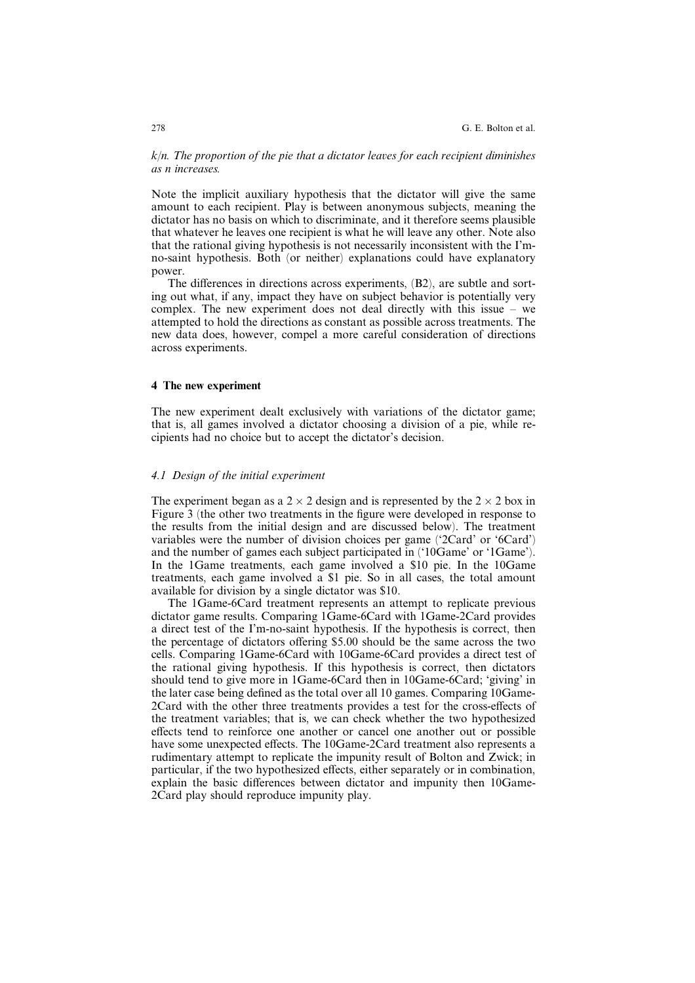$k/n$ . The proportion of the pie that a dictator leaves for each recipient diminishes as n increases.

Note the implicit auxiliary hypothesis that the dictator will give the same amount to each recipient. Play is between anonymous subjects, meaning the dictator has no basis on which to discriminate, and it therefore seems plausible that whatever he leaves one recipient is what he will leave any other. Note also that the rational giving hypothesis is not necessarily inconsistent with the I'mno-saint hypothesis. Both (or neither) explanations could have explanatory power.

The differences in directions across experiments,  $(B2)$ , are subtle and sorting out what, if any, impact they have on subject behavior is potentially very complex. The new experiment does not deal directly with this issue  $-$  we attempted to hold the directions as constant as possible across treatments. The new data does, however, compel a more careful consideration of directions across experiments.

#### 4 The new experiment

The new experiment dealt exclusively with variations of the dictator game; that is, all games involved a dictator choosing a division of a pie, while recipients had no choice but to accept the dictator's decision.

# 4.1 Design of the initial experiment

The experiment began as a  $2 \times 2$  design and is represented by the  $2 \times 2$  box in Figure 3 (the other two treatments in the figure were developed in response to the results from the initial design and are discussed below). The treatment variables were the number of division choices per game ('2Card' or '6Card') and the number of games each subject participated in (`10Game' or `1Game'). In the 1Game treatments, each game involved a \$10 pie. In the 10Game treatments, each game involved a \$1 pie. So in all cases, the total amount available for division by a single dictator was \$10.

The 1Game-6Card treatment represents an attempt to replicate previous dictator game results. Comparing 1Game-6Card with 1Game-2Card provides a direct test of the I'm-no-saint hypothesis. If the hypothesis is correct, then the percentage of dictators offering \$5.00 should be the same across the two cells. Comparing 1Game-6Card with 10Game-6Card provides a direct test of the rational giving hypothesis. If this hypothesis is correct, then dictators should tend to give more in 1Game-6Card then in 10Game-6Card; `giving' in the later case being defined as the total over all 10 games. Comparing 10Game-2Card with the other three treatments provides a test for the cross-effects of the treatment variables; that is, we can check whether the two hypothesized effects tend to reinforce one another or cancel one another out or possible have some unexpected effects. The 10Game-2Card treatment also represents a rudimentary attempt to replicate the impunity result of Bolton and Zwick; in particular, if the two hypothesized effects, either separately or in combination, explain the basic differences between dictator and impunity then 10Game-2Card play should reproduce impunity play.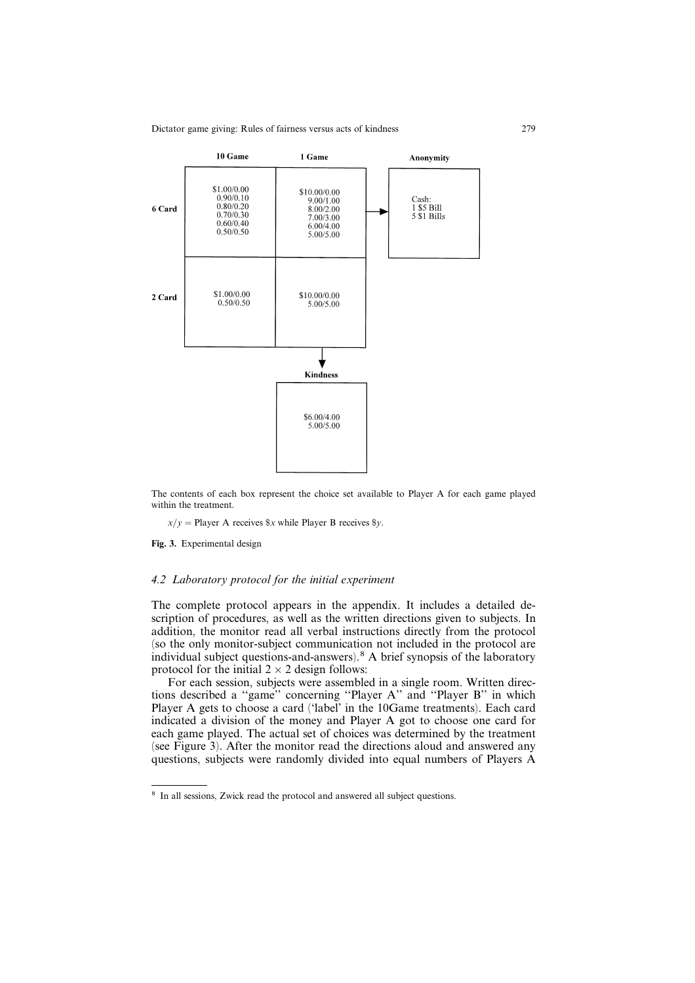

The contents of each box represent the choice set available to Player A for each game played within the treatment.

 $x/y$  = Player A receives \$x while Player B receives \$y.

Fig. 3. Experimental design

# 4.2 Laboratory protocol for the initial experiment

The complete protocol appears in the appendix. It includes a detailed description of procedures, as well as the written directions given to subjects. In addition, the monitor read all verbal instructions directly from the protocol (so the only monitor-subject communication not included in the protocol are individual subject questions-and-answers).8 A brief synopsis of the laboratory protocol for the initial  $2 \times 2$  design follows:

For each session, subjects were assembled in a single room. Written directions described a "game" concerning "Player A" and "Player B" in which Player A gets to choose a card ('label' in the 10Game treatments). Each card indicated a division of the money and Player A got to choose one card for each game played. The actual set of choices was determined by the treatment (see Figure 3). After the monitor read the directions aloud and answered any questions, subjects were randomly divided into equal numbers of Players A

<sup>8</sup> In all sessions, Zwick read the protocol and answered all subject questions.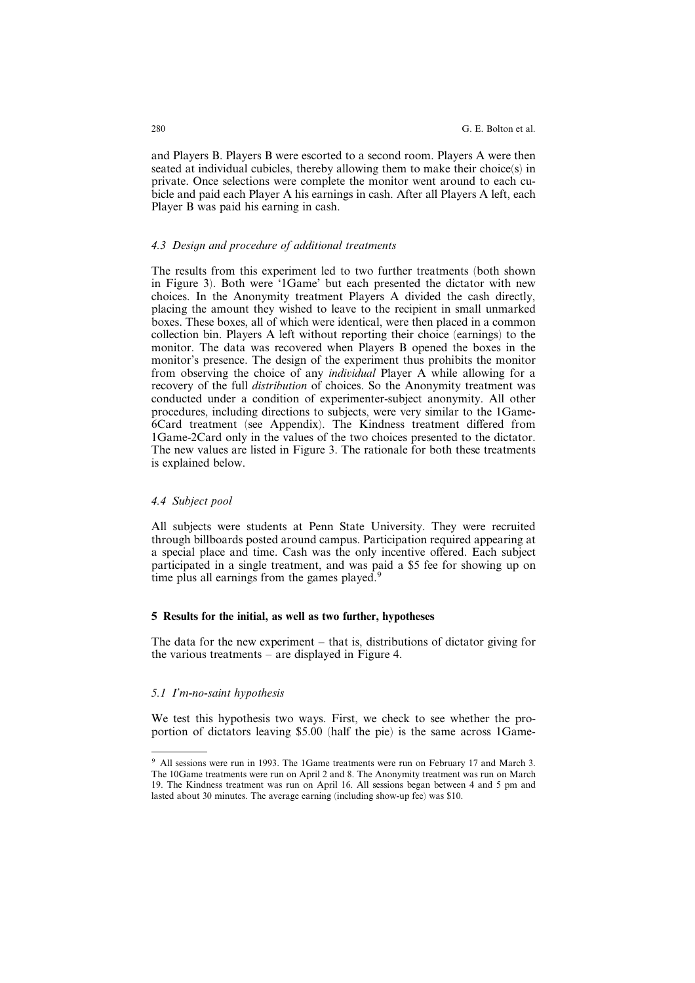and Players B. Players B were escorted to a second room. Players A were then seated at individual cubicles, thereby allowing them to make their choice(s) in private. Once selections were complete the monitor went around to each cubicle and paid each Player A his earnings in cash. After all Players A left, each Player B was paid his earning in cash.

#### 4.3 Design and procedure of additional treatments

The results from this experiment led to two further treatments (both shown in Figure 3). Both were `1Game' but each presented the dictator with new choices. In the Anonymity treatment Players A divided the cash directly, placing the amount they wished to leave to the recipient in small unmarked boxes. These boxes, all of which were identical, were then placed in a common collection bin. Players A left without reporting their choice (earnings) to the monitor. The data was recovered when Players B opened the boxes in the monitor's presence. The design of the experiment thus prohibits the monitor from observing the choice of any individual Player A while allowing for a recovery of the full distribution of choices. So the Anonymity treatment was conducted under a condition of experimenter-subject anonymity. All other procedures, including directions to subjects, were very similar to the 1Game-6Card treatment (see Appendix). The Kindness treatment differed from 1Game-2Card only in the values of the two choices presented to the dictator. The new values are listed in Figure 3. The rationale for both these treatments is explained below.

## 4.4 Subject pool

All subjects were students at Penn State University. They were recruited through billboards posted around campus. Participation required appearing at a special place and time. Cash was the only incentive offered. Each subject participated in a single treatment, and was paid a \$5 fee for showing up on time plus all earnings from the games played.<sup>9</sup>

#### 5 Results for the initial, as well as two further, hypotheses

The data for the new experiment  $-$  that is, distributions of dictator giving for the various treatments  $-$  are displayed in Figure 4.

#### 5.1 I'm-no-saint hypothesis

We test this hypothesis two ways. First, we check to see whether the proportion of dictators leaving \$5.00 (half the pie) is the same across 1Game-

<sup>9</sup> All sessions were run in 1993. The 1Game treatments were run on February 17 and March 3. The 10Game treatments were run on April 2 and 8. The Anonymity treatment was run on March 19. The Kindness treatment was run on April 16. All sessions began between 4 and 5 pm and lasted about 30 minutes. The average earning (including show-up fee) was \$10.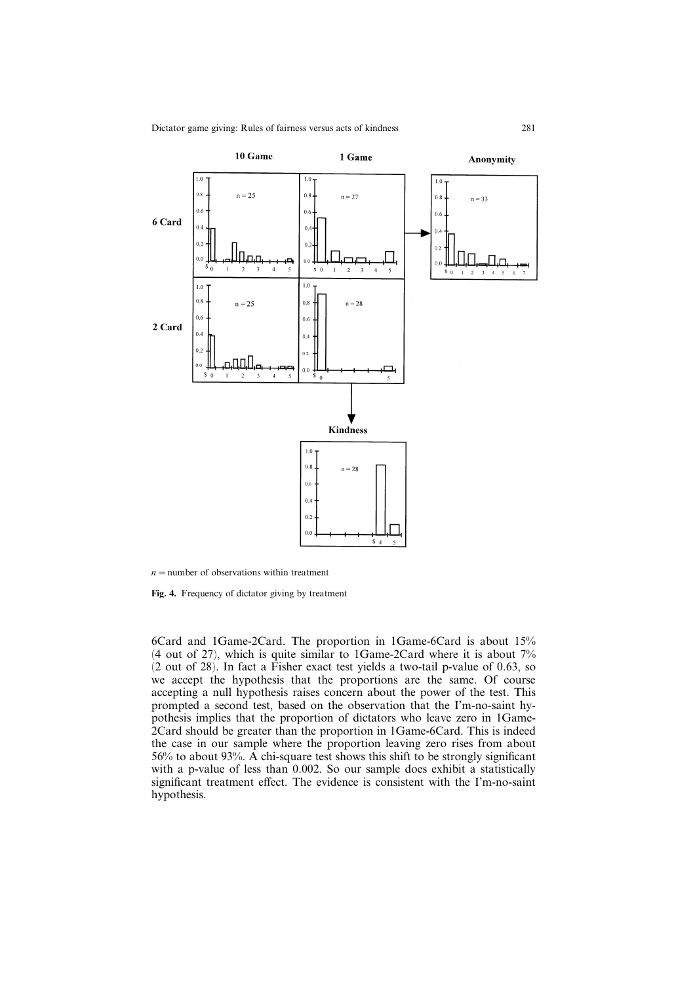

 $n =$ number of observations within treatment

Fig. 4. Frequency of dictator giving by treatment

6Card and 1Game-2Card. The proportion in 1Game-6Card is about 15% (4 out of 27), which is quite similar to 1Game-2Card where it is about 7% (2 out of 28). In fact a Fisher exact test yields a two-tail p-value of 0.63, so we accept the hypothesis that the proportions are the same. Of course accepting a null hypothesis raises concern about the power of the test. This prompted a second test, based on the observation that the I'm-no-saint hypothesis implies that the proportion of dictators who leave zero in 1Game-2Card should be greater than the proportion in 1Game-6Card. This is indeed the case in our sample where the proportion leaving zero rises from about  $56%$  to about 93%. A chi-square test shows this shift to be strongly significant with a p-value of less than 0.002. So our sample does exhibit a statistically significant treatment effect. The evidence is consistent with the I'm-no-saint hypothesis.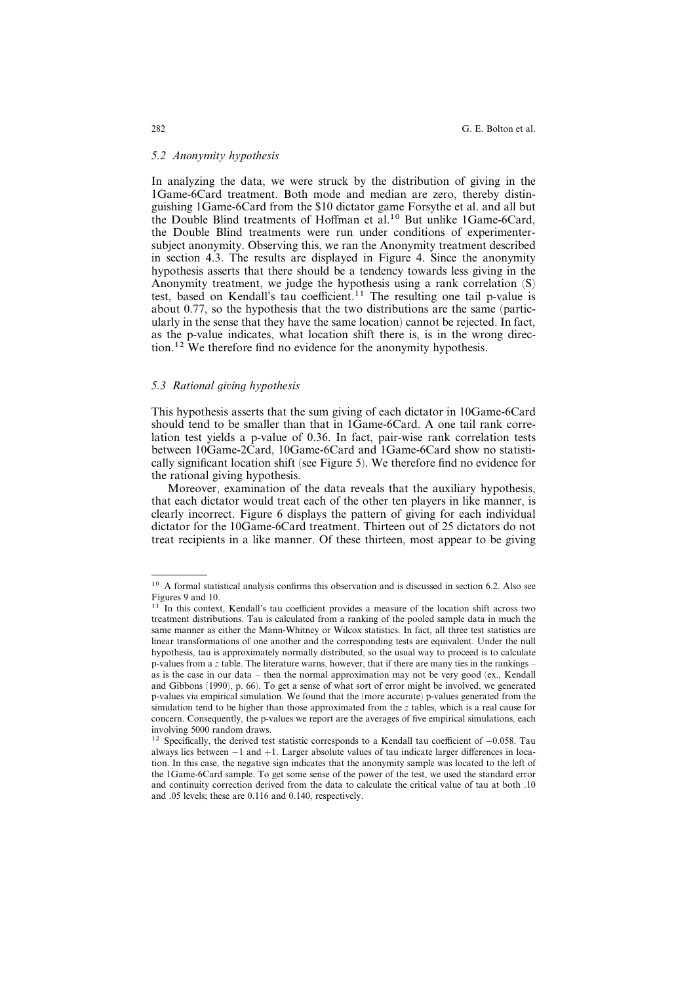## 5.2 Anonymity hypothesis

In analyzing the data, we were struck by the distribution of giving in the 1Game-6Card treatment. Both mode and median are zero, thereby distinguishing 1Game-6Card from the \$10 dictator game Forsythe et al. and all but the Double Blind treatments of Hoffman et al.<sup>10</sup> But unlike 1Game-6Card, the Double Blind treatments were run under conditions of experimentersubject anonymity. Observing this, we ran the Anonymity treatment described in section 4.3. The results are displayed in Figure 4. Since the anonymity hypothesis asserts that there should be a tendency towards less giving in the Anonymity treatment, we judge the hypothesis using a rank correlation (S) test, based on Kendall's tau coefficient.<sup>11</sup> The resulting one tail p-value is about 0.77, so the hypothesis that the two distributions are the same (particularly in the sense that they have the same location) cannot be rejected. In fact, as the p-value indicates, what location shift there is, is in the wrong direction.<sup>12</sup> We therefore find no evidence for the anonymity hypothesis.

## 5.3 Rational giving hypothesis

This hypothesis asserts that the sum giving of each dictator in 10Game-6Card should tend to be smaller than that in 1Game-6Card. A one tail rank correlation test yields a p-value of 0.36. In fact, pair-wise rank correlation tests between 10Game-2Card, 10Game-6Card and 1Game-6Card show no statistically significant location shift (see Figure 5). We therefore find no evidence for the rational giving hypothesis.

Moreover, examination of the data reveals that the auxiliary hypothesis, that each dictator would treat each of the other ten players in like manner, is clearly incorrect. Figure 6 displays the pattern of giving for each individual dictator for the 10Game-6Card treatment. Thirteen out of 25 dictators do not treat recipients in a like manner. Of these thirteen, most appear to be giving

 $10$  A formal statistical analysis confirms this observation and is discussed in section 6.2. Also see Figures 9 and 10.

<sup>&</sup>lt;sup>11</sup> In this context, Kendall's tau coefficient provides a measure of the location shift across two treatment distributions. Tau is calculated from a ranking of the pooled sample data in much the same manner as either the Mann-Whitney or Wilcox statistics. In fact, all three test statistics are linear transformations of one another and the corresponding tests are equivalent. Under the null hypothesis, tau is approximately normally distributed, so the usual way to proceed is to calculate p-values from a z table. The literature warns, however, that if there are many ties in the rankings  $$ as is the case in our data  $-$  then the normal approximation may not be very good (ex., Kendall and Gibbons (1990), p. 66). To get a sense of what sort of error might be involved, we generated p-values via empirical simulation. We found that the (more accurate) p-values generated from the simulation tend to be higher than those approximated from the  $z$  tables, which is a real cause for concern. Consequently, the p-values we report are the averages of five empirical simulations, each involving 5000 random draws.

<sup>&</sup>lt;sup>12</sup> Specifically, the derived test statistic corresponds to a Kendall tau coefficient of  $-0.058$ . Tau always lies between  $-1$  and  $+1$ . Larger absolute values of tau indicate larger differences in location. In this case, the negative sign indicates that the anonymity sample was located to the left of the 1Game-6Card sample. To get some sense of the power of the test, we used the standard error and continuity correction derived from the data to calculate the critical value of tau at both .10 and .05 levels; these are 0.116 and 0.140, respectively.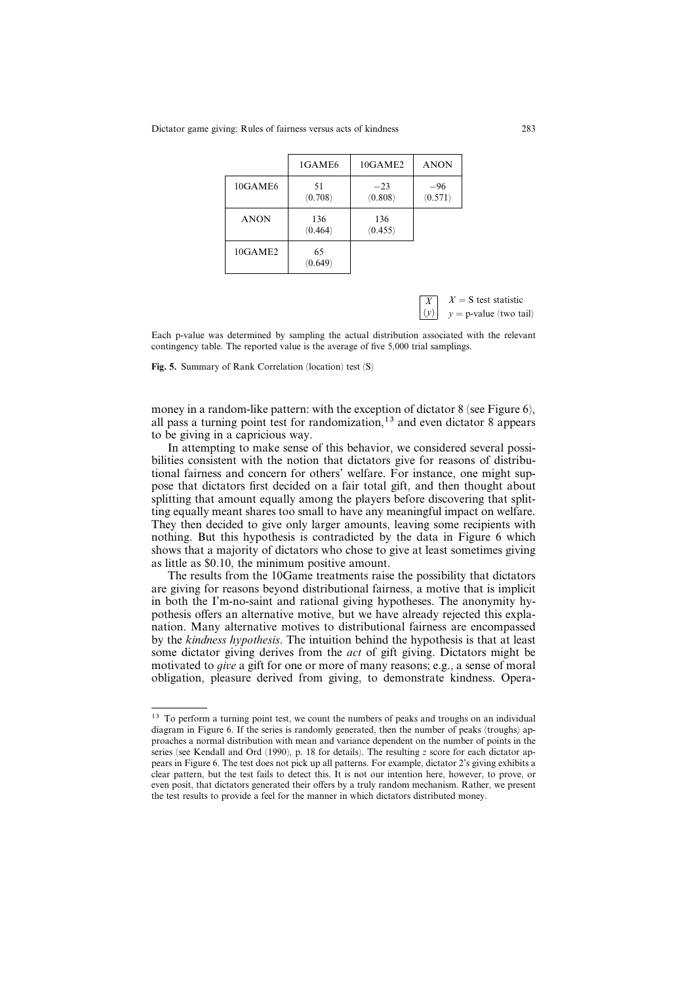|             | 1GAME6         | 10GAME2          | <b>ANON</b>      |
|-------------|----------------|------------------|------------------|
| 10GAME6     | 51<br>(0.708)  | $-23$<br>(0.808) | $-96$<br>(0.571) |
| <b>ANON</b> | 136<br>(0.464) | 136<br>(0.455)   |                  |
| 10GAME2     | 65<br>(0.649)  |                  |                  |

 $\boldsymbol{X}$  $(y)$  $X = S$  test statistic  $y = p$ -value (two tail)

Each p-value was determined by sampling the actual distribution associated with the relevant contingency table. The reported value is the average of five 5,000 trial samplings.

Fig. 5. Summary of Rank Correlation (location) test (S)

money in a random-like pattern: with the exception of dictator 8 (see Figure 6), all pass a turning point test for randomization,  $13$  and even dictator 8 appears to be giving in a capricious way.

In attempting to make sense of this behavior, we considered several possibilities consistent with the notion that dictators give for reasons of distributional fairness and concern for others' welfare. For instance, one might suppose that dictators first decided on a fair total gift, and then thought about splitting that amount equally among the players before discovering that splitting equally meant shares too small to have any meaningful impact on welfare. They then decided to give only larger amounts, leaving some recipients with nothing. But this hypothesis is contradicted by the data in Figure 6 which shows that a majority of dictators who chose to give at least sometimes giving as little as \$0.10, the minimum positive amount.

The results from the 10Game treatments raise the possibility that dictators are giving for reasons beyond distributional fairness, a motive that is implicit in both the I'm-no-saint and rational giving hypotheses. The anonymity hypothesis offers an alternative motive, but we have already rejected this explanation. Many alternative motives to distributional fairness are encompassed by the kindness hypothesis. The intuition behind the hypothesis is that at least some dictator giving derives from the act of gift giving. Dictators might be motivated to give a gift for one or more of many reasons; e.g., a sense of moral obligation, pleasure derived from giving, to demonstrate kindness. Opera-

<sup>&</sup>lt;sup>13</sup> To perform a turning point test, we count the numbers of peaks and troughs on an individual diagram in Figure 6. If the series is randomly generated, then the number of peaks (troughs) approaches a normal distribution with mean and variance dependent on the number of points in the series (see Kendall and Ord (1990), p. 18 for details). The resulting z score for each dictator appears in Figure 6. The test does not pick up all patterns. For example, dictator 2's giving exhibits a clear pattern, but the test fails to detect this. It is not our intention here, however, to prove, or even posit, that dictators generated their offers by a truly random mechanism. Rather, we present the test results to provide a feel for the manner in which dictators distributed money.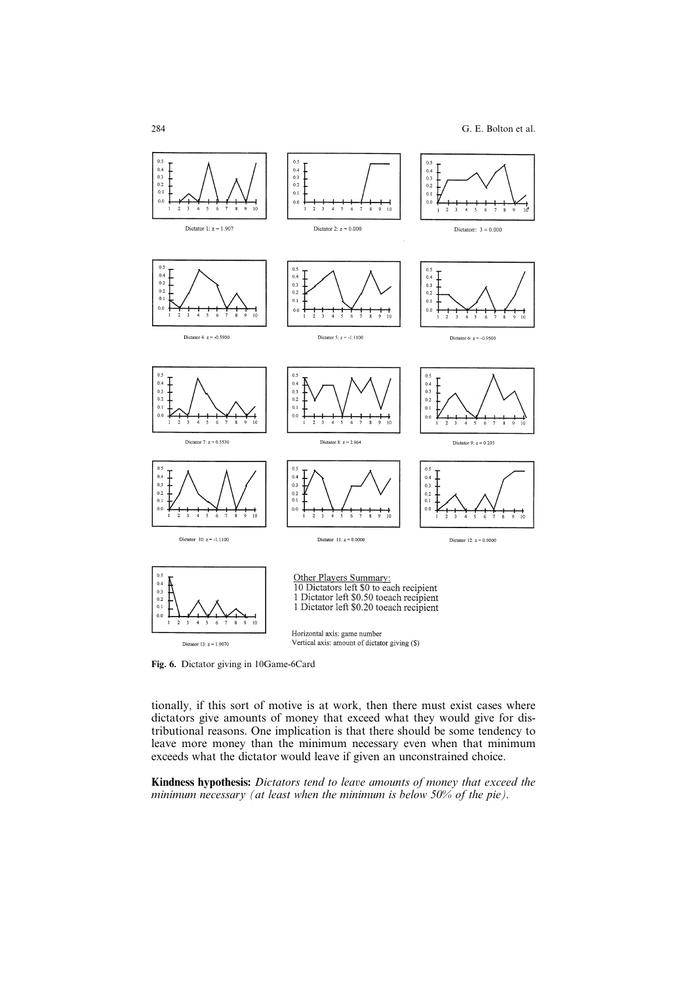

Fig. 6. Dictator giving in 10Game-6Card

tionally, if this sort of motive is at work, then there must exist cases where dictators give amounts of money that exceed what they would give for distributional reasons. One implication is that there should be some tendency to leave more money than the minimum necessary even when that minimum exceeds what the dictator would leave if given an unconstrained choice.

Kindness hypothesis: Dictators tend to leave amounts of money that exceed the minimum necessary (at least when the minimum is below  $50\%$  of the pie).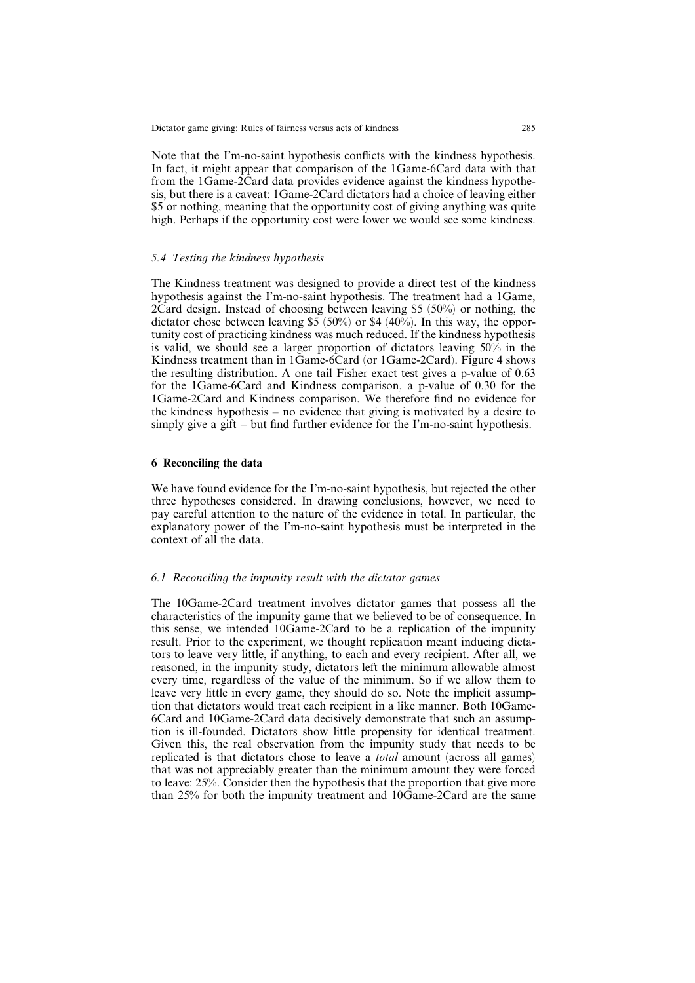Note that the I'm-no-saint hypothesis conflicts with the kindness hypothesis. In fact, it might appear that comparison of the 1Game-6Card data with that from the 1Game-2Card data provides evidence against the kindness hypothesis, but there is a caveat: 1Game-2Card dictators had a choice of leaving either \$5 or nothing, meaning that the opportunity cost of giving anything was quite high. Perhaps if the opportunity cost were lower we would see some kindness.

## 5.4 Testing the kindness hypothesis

The Kindness treatment was designed to provide a direct test of the kindness hypothesis against the I'm-no-saint hypothesis. The treatment had a 1Game, 2Card design. Instead of choosing between leaving \$5 (50%) or nothing, the dictator chose between leaving \$5 (50%) or \$4 (40%). In this way, the opportunity cost of practicing kindness was much reduced. If the kindness hypothesis is valid, we should see a larger proportion of dictators leaving 50% in the Kindness treatment than in 1Game-6Card (or 1Game-2Card). Figure 4 shows the resulting distribution. A one tail Fisher exact test gives a p-value of 0.63 for the 1Game-6Card and Kindness comparison, a p-value of 0.30 for the 1Game-2Card and Kindness comparison. We therefore find no evidence for the kindness hypothesis  $-$  no evidence that giving is motivated by a desire to simply give a gift  $-\text{but find further evidence for the I'm-no-saint hypothesis.}$ 

## 6 Reconciling the data

We have found evidence for the I'm-no-saint hypothesis, but rejected the other three hypotheses considered. In drawing conclusions, however, we need to pay careful attention to the nature of the evidence in total. In particular, the explanatory power of the I'm-no-saint hypothesis must be interpreted in the context of all the data.

#### 6.1 Reconciling the impunity result with the dictator games

The 10Game-2Card treatment involves dictator games that possess all the characteristics of the impunity game that we believed to be of consequence. In this sense, we intended 10Game-2Card to be a replication of the impunity result. Prior to the experiment, we thought replication meant inducing dictators to leave very little, if anything, to each and every recipient. After all, we reasoned, in the impunity study, dictators left the minimum allowable almost every time, regardless of the value of the minimum. So if we allow them to leave very little in every game, they should do so. Note the implicit assumption that dictators would treat each recipient in a like manner. Both 10Game-6Card and 10Game-2Card data decisively demonstrate that such an assumption is ill-founded. Dictators show little propensity for identical treatment. Given this, the real observation from the impunity study that needs to be replicated is that dictators chose to leave a total amount (across all games) that was not appreciably greater than the minimum amount they were forced to leave: 25%. Consider then the hypothesis that the proportion that give more than 25% for both the impunity treatment and 10Game-2Card are the same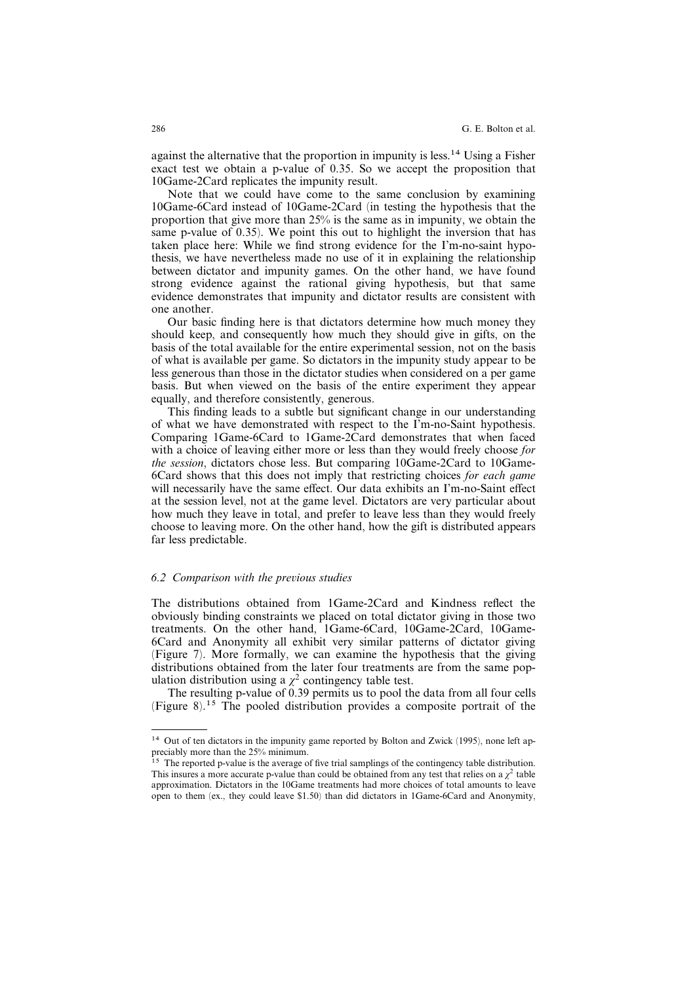against the alternative that the proportion in impunity is less.14 Using a Fisher exact test we obtain a p-value of 0.35. So we accept the proposition that 10Game-2Card replicates the impunity result.

Note that we could have come to the same conclusion by examining 10Game-6Card instead of 10Game-2Card (in testing the hypothesis that the proportion that give more than 25% is the same as in impunity, we obtain the same p-value of 0.35). We point this out to highlight the inversion that has taken place here: While we find strong evidence for the I'm-no-saint hypothesis, we have nevertheless made no use of it in explaining the relationship between dictator and impunity games. On the other hand, we have found strong evidence against the rational giving hypothesis, but that same evidence demonstrates that impunity and dictator results are consistent with one another.

Our basic finding here is that dictators determine how much money they should keep, and consequently how much they should give in gifts, on the basis of the total available for the entire experimental session, not on the basis of what is available per game. So dictators in the impunity study appear to be less generous than those in the dictator studies when considered on a per game basis. But when viewed on the basis of the entire experiment they appear equally, and therefore consistently, generous.

This finding leads to a subtle but significant change in our understanding of what we have demonstrated with respect to the I'm-no-Saint hypothesis. Comparing 1Game-6Card to 1Game-2Card demonstrates that when faced with a choice of leaving either more or less than they would freely choose for the session, dictators chose less. But comparing 10Game-2Card to 10Game-6Card shows that this does not imply that restricting choices for each game will necessarily have the same effect. Our data exhibits an I'm-no-Saint effect at the session level, not at the game level. Dictators are very particular about how much they leave in total, and prefer to leave less than they would freely choose to leaving more. On the other hand, how the gift is distributed appears far less predictable.

#### 6.2 Comparison with the previous studies

The distributions obtained from 1Game-2Card and Kindness reflect the obviously binding constraints we placed on total dictator giving in those two treatments. On the other hand, 1Game-6Card, 10Game-2Card, 10Game-6Card and Anonymity all exhibit very similar patterns of dictator giving (Figure 7). More formally, we can examine the hypothesis that the giving distributions obtained from the later four treatments are from the same population distribution using a  $\chi^2$  contingency table test.

The resulting p-value of 0.39 permits us to pool the data from all four cells (Figure 8).15 The pooled distribution provides a composite portrait of the

<sup>&</sup>lt;sup>14</sup> Out of ten dictators in the impunity game reported by Bolton and Zwick (1995), none left appreciably more than the 25% minimum.

The reported p-value is the average of five trial samplings of the contingency table distribution. This insures a more accurate p-value than could be obtained from any test that relies on a  $\chi^2$  table approximation. Dictators in the 10Game treatments had more choices of total amounts to leave open to them (ex., they could leave \$1.50) than did dictators in 1Game-6Card and Anonymity,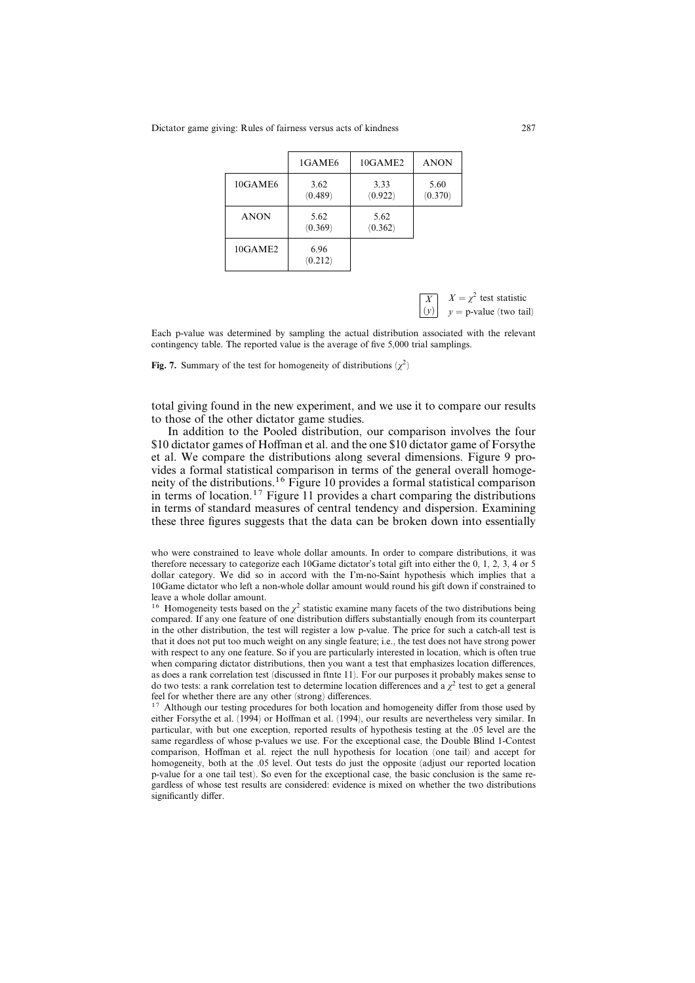|             | 1GAME6          | 10GAME2         | <b>ANON</b>     |
|-------------|-----------------|-----------------|-----------------|
| 10GAME6     | 3.62<br>(0.489) | 3.33<br>(0.922) | 5.60<br>(0.370) |
| <b>ANON</b> | 5.62<br>(0.369) | 5.62<br>(0.362) |                 |
| 10GAME2     | 6.96<br>(0.212) |                 |                 |

 $\boldsymbol{X}$  $(v)$  $X = \chi^2$  test statistic  $y = p$ -value (two tail)

Each p-value was determined by sampling the actual distribution associated with the relevant contingency table. The reported value is the average of five 5,000 trial samplings.

Fig. 7. Summary of the test for homogeneity of distributions  $(\chi^2)$ 

total giving found in the new experiment, and we use it to compare our results to those of the other dictator game studies.

In addition to the Pooled distribution, our comparison involves the four \$10 dictator games of Hoffman et al. and the one \$10 dictator game of Forsythe et al. We compare the distributions along several dimensions. Figure 9 provides a formal statistical comparison in terms of the general overall homogeneity of the distributions.16 Figure 10 provides a formal statistical comparison in terms of location.17 Figure 11 provides a chart comparing the distributions in terms of standard measures of central tendency and dispersion. Examining these three figures suggests that the data can be broken down into essentially

who were constrained to leave whole dollar amounts. In order to compare distributions, it was therefore necessary to categorize each 10Game dictator's total gift into either the 0, 1, 2, 3, 4 or 5 dollar category. We did so in accord with the I'm-no-Saint hypothesis which implies that a 10Game dictator who left a non-whole dollar amount would round his gift down if constrained to leave a whole dollar amount.

<sup>16</sup> Homogeneity tests based on the  $\chi^2$  statistic examine many facets of the two distributions being compared. If any one feature of one distribution differs substantially enough from its counterpart in the other distribution, the test will register a low p-value. The price for such a catch-all test is that it does not put too much weight on any single feature; i.e., the test does not have strong power with respect to any one feature. So if you are particularly interested in location, which is often true when comparing dictator distributions, then you want a test that emphasizes location differences, as does a rank correlation test (discussed in ftnte 11). For our purposes it probably makes sense to do two tests: a rank correlation test to determine location differences and a  $\chi^2$  test to get a general feel for whether there are any other (strong) differences.

Although our testing procedures for both location and homogeneity differ from those used by either Forsythe et al. (1994) or Hoffman et al. (1994), our results are nevertheless very similar. In particular, with but one exception, reported results of hypothesis testing at the .05 level are the same regardless of whose p-values we use. For the exceptional case, the Double Blind 1-Contest comparison, Hoffman et al. reject the null hypothesis for location (one tail) and accept for homogeneity, both at the .05 level. Out tests do just the opposite (adjust our reported location p-value for a one tail test). So even for the exceptional case, the basic conclusion is the same regardless of whose test results are considered: evidence is mixed on whether the two distributions significantly differ.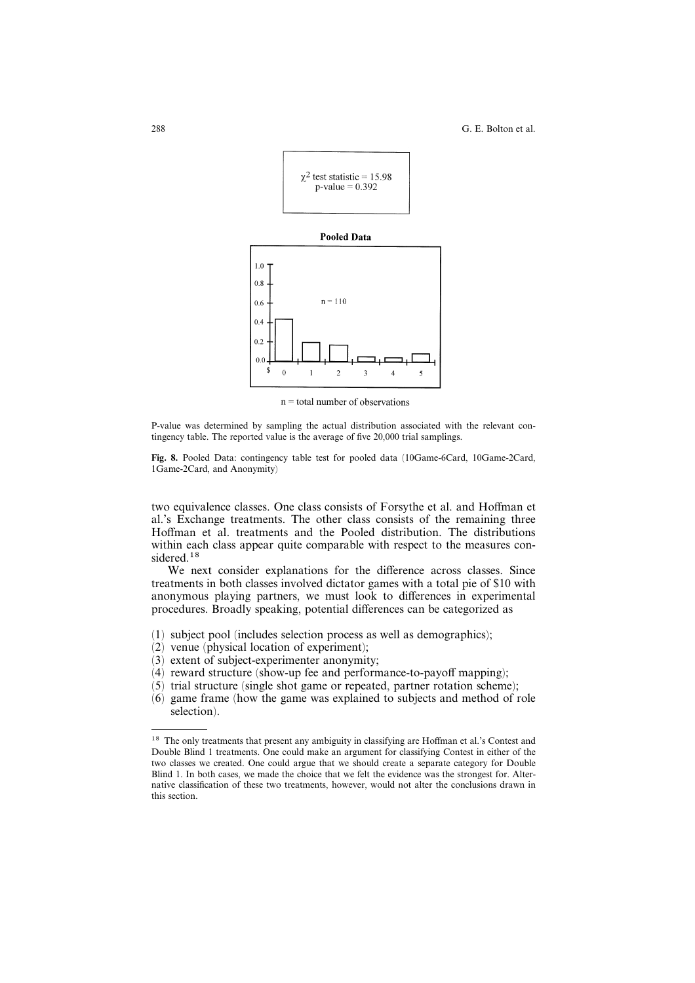

 $n =$  total number of observations

P-value was determined by sampling the actual distribution associated with the relevant contingency table. The reported value is the average of five 20,000 trial samplings.

Fig. 8. Pooled Data: contingency table test for pooled data (10Game-6Card, 10Game-2Card, 1Game-2Card, and Anonymity)

two equivalence classes. One class consists of Forsythe et al. and Hoffman et al.'s Exchange treatments. The other class consists of the remaining three Hoffman et al. treatments and the Pooled distribution. The distributions within each class appear quite comparable with respect to the measures considered.<sup>18</sup>

We next consider explanations for the difference across classes. Since treatments in both classes involved dictator games with a total pie of \$10 with anonymous playing partners, we must look to differences in experimental procedures. Broadly speaking, potential differences can be categorized as

- (1) subject pool (includes selection process as well as demographics);
- (2) venue (physical location of experiment);
- (3) extent of subject-experimenter anonymity;
- $(4)$  reward structure (show-up fee and performance-to-payoff mapping);
- (5) trial structure (single shot game or repeated, partner rotation scheme);
- (6) game frame (how the game was explained to subjects and method of role selection).

<sup>&</sup>lt;sup>18</sup> The only treatments that present any ambiguity in classifying are Hoffman et al.'s Contest and Double Blind 1 treatments. One could make an argument for classifying Contest in either of the two classes we created. One could argue that we should create a separate category for Double Blind 1. In both cases, we made the choice that we felt the evidence was the strongest for. Alternative classification of these two treatments, however, would not alter the conclusions drawn in this section.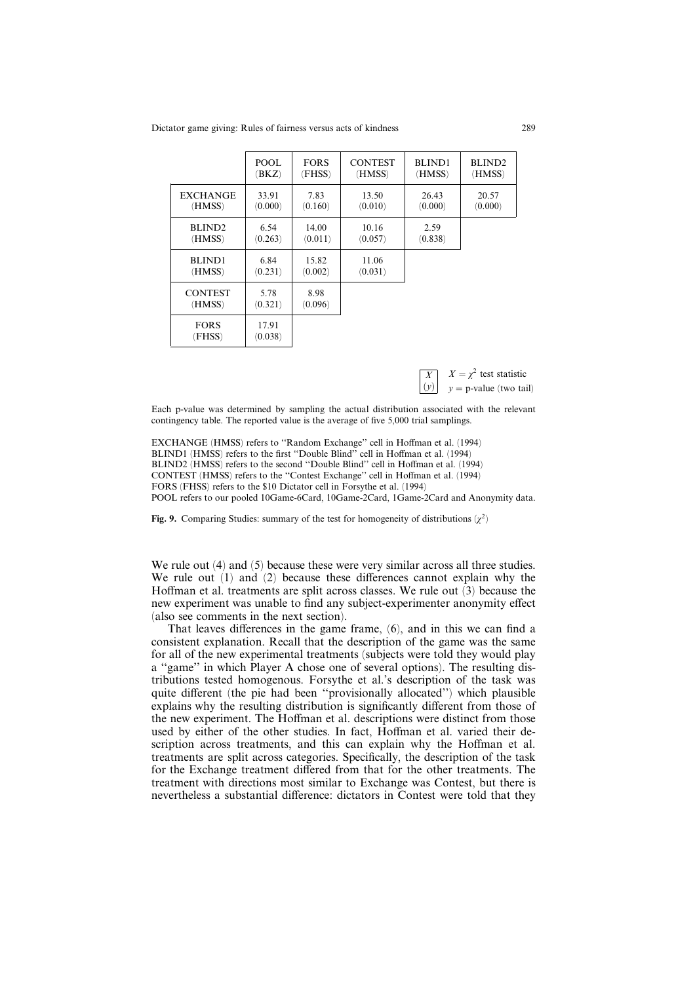|                          | <b>POOL</b>      | <b>FORS</b>      | <b>CONTEST</b>   | <b>BLIND1</b> | BLIND <sub>2</sub> |
|--------------------------|------------------|------------------|------------------|---------------|--------------------|
|                          | (BKZ)            | (FHSS)           | (HMSS)           | (HMSS)        | (HMSS)             |
| <b>EXCHANGE</b>          | 33.91            | 7.83             | 13.50            | 26.43         | 20.57              |
| (HMSS)                   | (0.000)          | (0.160)          | (0.010)          | (0.000)       | (0.000)            |
| BLIND <sub>2</sub>       | 6.54             | 14.00            | 10.16            | 2.59          |                    |
| (HMSS)                   | (0.263)          | (0.011)          | (0.057)          | (0.838)       |                    |
| <b>BLIND1</b><br>(HMSS)  | 6.84<br>(0.231)  | 15.82<br>(0.002) | 11.06<br>(0.031) |               |                    |
| <b>CONTEST</b><br>(HMSS) | 5.78<br>(0.321)  | 8.98<br>(0.096)  |                  |               |                    |
| <b>FORS</b><br>(FHSS)    | 17.91<br>(0.038) |                  |                  |               |                    |

 $\boldsymbol{X}$  $(y)$  $X = \chi^2$  test statistic  $y = p$ -value (two tail)

Each p-value was determined by sampling the actual distribution associated with the relevant contingency table. The reported value is the average of five 5,000 trial samplings.

EXCHANGE (HMSS) refers to "Random Exchange" cell in Hoffman et al. (1994) BLIND1 (HMSS) refers to the first "Double Blind" cell in Hoffman et al. (1994) BLIND2 (HMSS) refers to the second "Double Blind" cell in Hoffman et al. (1994) CONTEST (HMSS) refers to the "Contest Exchange" cell in Hoffman et al. (1994) FORS (FHSS) refers to the \$10 Dictator cell in Forsythe et al. (1994) POOL refers to our pooled 10Game-6Card, 10Game-2Card, 1Game-2Card and Anonymity data.

Fig. 9. Comparing Studies: summary of the test for homogeneity of distributions  $(\gamma^2)$ 

We rule out (4) and (5) because these were very similar across all three studies. We rule out  $(1)$  and  $(2)$  because these differences cannot explain why the Hoffman et al. treatments are split across classes. We rule out  $(3)$  because the new experiment was unable to find any subject-experimenter anonymity effect (also see comments in the next section).

That leaves differences in the game frame,  $(6)$ , and in this we can find a consistent explanation. Recall that the description of the game was the same for all of the new experimental treatments (subjects were told they would play a "game" in which Player A chose one of several options). The resulting distributions tested homogenous. Forsythe et al.'s description of the task was quite different (the pie had been "provisionally allocated") which plausible explains why the resulting distribution is significantly different from those of the new experiment. The Hoffman et al. descriptions were distinct from those used by either of the other studies. In fact, Hoffman et al. varied their description across treatments, and this can explain why the Hoffman et al. treatments are split across categories. Specifically, the description of the task for the Exchange treatment differed from that for the other treatments. The treatment with directions most similar to Exchange was Contest, but there is nevertheless a substantial difference: dictators in Contest were told that they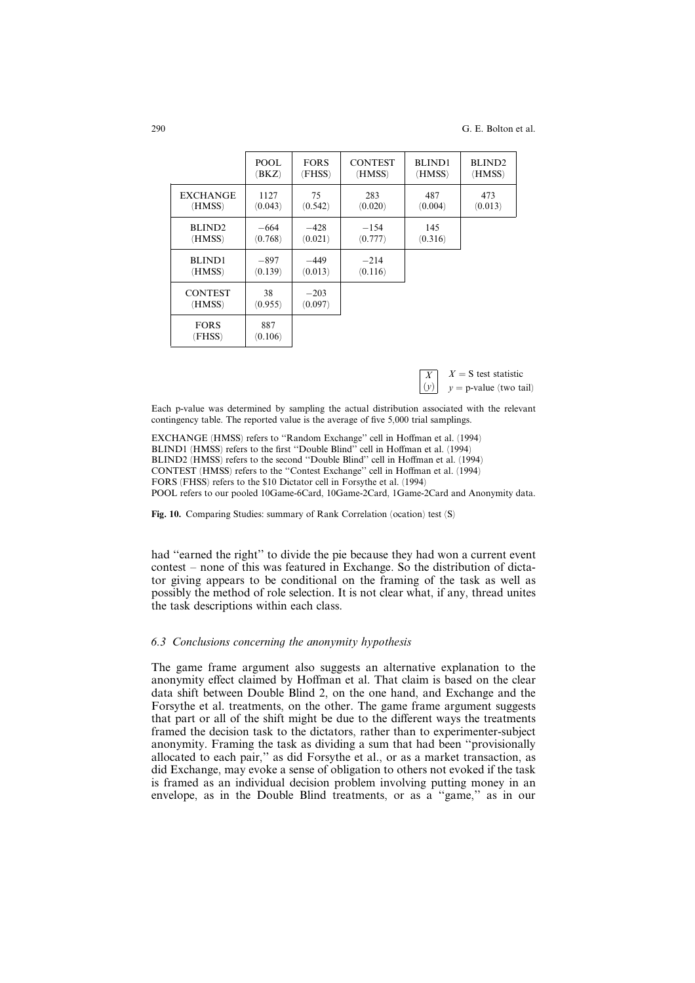|                          | <b>POOL</b>       | <b>FORS</b>       | <b>CONTEST</b>    | <b>BLIND1</b> | BLIND <sub>2</sub> |
|--------------------------|-------------------|-------------------|-------------------|---------------|--------------------|
|                          | (BKZ)             | (FHSS)            | (HMSS)            | (HMSS)        | (HMSS)             |
| <b>EXCHANGE</b>          | 1127              | 75                | 283               | 487           | 473                |
| (HMSS)                   | (0.043)           | (0.542)           | (0.020)           | (0.004)       | (0.013)            |
| BLIND <sub>2</sub>       | $-664$            | $-428$            | $-154$            | 145           |                    |
| (HMSS)                   | (0.768)           | (0.021)           | (0.777)           | (0.316)       |                    |
| <b>BLIND1</b><br>(HMSS)  | $-897$<br>(0.139) | $-449$<br>(0.013) | $-214$<br>(0.116) |               |                    |
| <b>CONTEST</b><br>(HMSS) | 38<br>(0.955)     | $-203$<br>(0.097) |                   |               |                    |
| <b>FORS</b><br>(FHSS)    | 887<br>(0.106)    |                   |                   |               |                    |

 $\boldsymbol{X}$  $(y)$  $X = S$  test statistic  $v = p$ -value (two tail)

Each p-value was determined by sampling the actual distribution associated with the relevant contingency table. The reported value is the average of five  $5.000$  trial samplings.

EXCHANGE (HMSS) refers to "Random Exchange" cell in Hoffman et al. (1994) BLIND1 (HMSS) refers to the first "Double Blind" cell in Hoffman et al. (1994) BLIND2 (HMSS) refers to the second "Double Blind" cell in Hoffman et al. (1994) CONTEST (HMSS) refers to the "Contest Exchange" cell in Hoffman et al. (1994) FORS (FHSS) refers to the \$10 Dictator cell in Forsythe et al. (1994) POOL refers to our pooled 10Game-6Card, 10Game-2Card, 1Game-2Card and Anonymity data.

Fig. 10. Comparing Studies: summary of Rank Correlation (ocation) test (S)

had "earned the right" to divide the pie because they had won a current event  $context$  – none of this was featured in Exchange. So the distribution of dictator giving appears to be conditional on the framing of the task as well as possibly the method of role selection. It is not clear what, if any, thread unites the task descriptions within each class.

## 6.3 Conclusions concerning the anonymity hypothesis

The game frame argument also suggests an alternative explanation to the anonymity effect claimed by Hoffman et al. That claim is based on the clear data shift between Double Blind 2, on the one hand, and Exchange and the Forsythe et al. treatments, on the other. The game frame argument suggests that part or all of the shift might be due to the different ways the treatments framed the decision task to the dictators, rather than to experimenter-subject anonymity. Framing the task as dividing a sum that had been "provisionally allocated to each pair,'' as did Forsythe et al., or as a market transaction, as did Exchange, may evoke a sense of obligation to others not evoked if the task is framed as an individual decision problem involving putting money in an envelope, as in the Double Blind treatments, or as a "game," as in our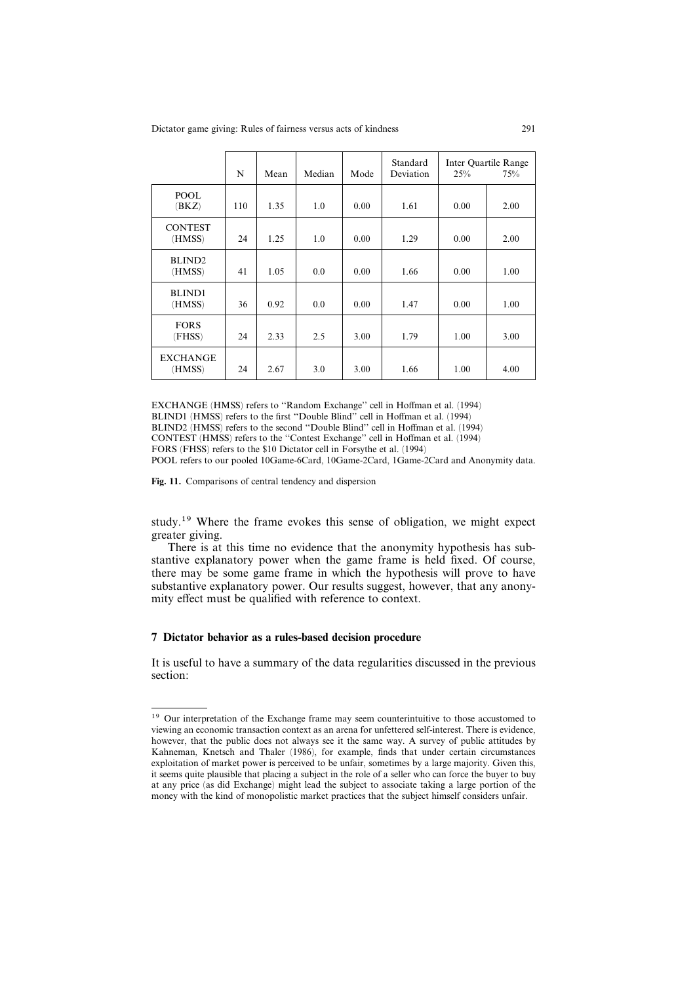|                              | N   | Mean | Median | Mode | Standard<br>Deviation | 25%  | <b>Inter Quartile Range</b><br>75% |
|------------------------------|-----|------|--------|------|-----------------------|------|------------------------------------|
| <b>POOL</b><br>(BKZ)         | 110 | 1.35 | 1.0    | 0.00 | 1.61                  | 0.00 | 2.00                               |
| <b>CONTEST</b><br>(HMSS)     | 24  | 1.25 | 1.0    | 0.00 | 1.29                  | 0.00 | 2.00                               |
| BLIND <sub>2</sub><br>(HMSS) | 41  | 1.05 | 0.0    | 0.00 | 1.66                  | 0.00 | 1.00                               |
| <b>BLIND1</b><br>(HMSS)      | 36  | 0.92 | 0.0    | 0.00 | 1.47                  | 0.00 | 1.00                               |
| <b>FORS</b><br>(FHSS)        | 24  | 2.33 | 2.5    | 3.00 | 1.79                  | 1.00 | 3.00                               |
| <b>EXCHANGE</b><br>(HMSS)    | 24  | 2.67 | 3.0    | 3.00 | 1.66                  | 1.00 | 4.00                               |

EXCHANGE (HMSS) refers to "Random Exchange" cell in Hoffman et al. (1994) BLIND1 (HMSS) refers to the first "Double Blind" cell in Hoffman et al. (1994) BLIND2 (HMSS) refers to the second "Double Blind" cell in Hoffman et al. (1994) CONTEST (HMSS) refers to the "Contest Exchange" cell in Hoffman et al. (1994) FORS (FHSS) refers to the \$10 Dictator cell in Forsythe et al. (1994) POOL refers to our pooled 10Game-6Card, 10Game-2Card, 1Game-2Card and Anonymity data.

Fig. 11. Comparisons of central tendency and dispersion

study.19 Where the frame evokes this sense of obligation, we might expect greater giving.

There is at this time no evidence that the anonymity hypothesis has substantive explanatory power when the game frame is held fixed. Of course, there may be some game frame in which the hypothesis will prove to have substantive explanatory power. Our results suggest, however, that any anonymity effect must be qualified with reference to context.

# 7 Dictator behavior as a rules-based decision procedure

It is useful to have a summary of the data regularities discussed in the previous section:

<sup>&</sup>lt;sup>19</sup> Our interpretation of the Exchange frame may seem counterintuitive to those accustomed to viewing an economic transaction context as an arena for unfettered self-interest. There is evidence, however, that the public does not always see it the same way. A survey of public attitudes by Kahneman, Knetsch and Thaler (1986), for example, finds that under certain circumstances exploitation of market power is perceived to be unfair, sometimes by a large majority. Given this, it seems quite plausible that placing a subject in the role of a seller who can force the buyer to buy at any price (as did Exchange) might lead the subject to associate taking a large portion of the money with the kind of monopolistic market practices that the subject himself considers unfair.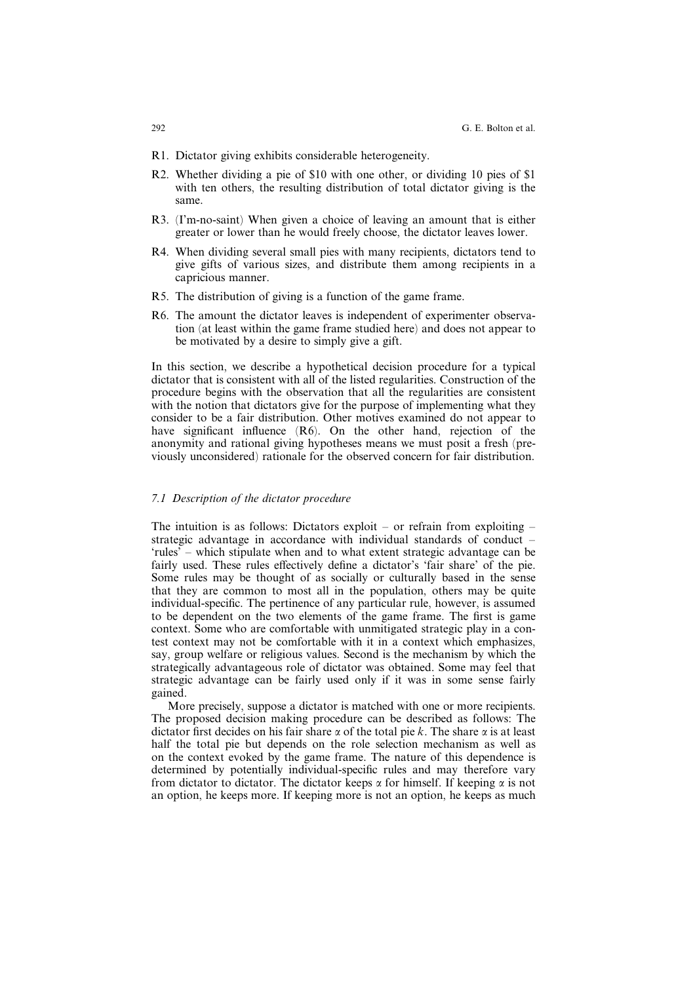- R1. Dictator giving exhibits considerable heterogeneity.
- R2. Whether dividing a pie of \$10 with one other, or dividing 10 pies of \$1 with ten others, the resulting distribution of total dictator giving is the same.
- R3. (I'm-no-saint) When given a choice of leaving an amount that is either greater or lower than he would freely choose, the dictator leaves lower.
- R4. When dividing several small pies with many recipients, dictators tend to give gifts of various sizes, and distribute them among recipients in a capricious manner.
- R5. The distribution of giving is a function of the game frame.
- R6. The amount the dictator leaves is independent of experimenter observation (at least within the game frame studied here) and does not appear to be motivated by a desire to simply give a gift.

In this section, we describe a hypothetical decision procedure for a typical dictator that is consistent with all of the listed regularities. Construction of the procedure begins with the observation that all the regularities are consistent with the notion that dictators give for the purpose of implementing what they consider to be a fair distribution. Other motives examined do not appear to have significant influence  $(R6)$ . On the other hand, rejection of the anonymity and rational giving hypotheses means we must posit a fresh (previously unconsidered) rationale for the observed concern for fair distribution.

#### 7.1 Description of the dictator procedure

The intuition is as follows: Dictators exploit  $-$  or refrain from exploiting  $$ strategic advantage in accordance with individual standards of conduct  $-$ `rules' ± which stipulate when and to what extent strategic advantage can be fairly used. These rules effectively define a dictator's 'fair share' of the pie. Some rules may be thought of as socially or culturally based in the sense that they are common to most all in the population, others may be quite individual-specific. The pertinence of any particular rule, however, is assumed to be dependent on the two elements of the game frame. The first is game context. Some who are comfortable with unmitigated strategic play in a contest context may not be comfortable with it in a context which emphasizes, say, group welfare or religious values. Second is the mechanism by which the strategically advantageous role of dictator was obtained. Some may feel that strategic advantage can be fairly used only if it was in some sense fairly gained.

More precisely, suppose a dictator is matched with one or more recipients. The proposed decision making procedure can be described as follows: The dictator first decides on his fair share  $\alpha$  of the total pie k. The share  $\alpha$  is at least half the total pie but depends on the role selection mechanism as well as on the context evoked by the game frame. The nature of this dependence is determined by potentially individual-specific rules and may therefore vary from dictator to dictator. The dictator keeps  $\alpha$  for himself. If keeping  $\alpha$  is not an option, he keeps more. If keeping more is not an option, he keeps as much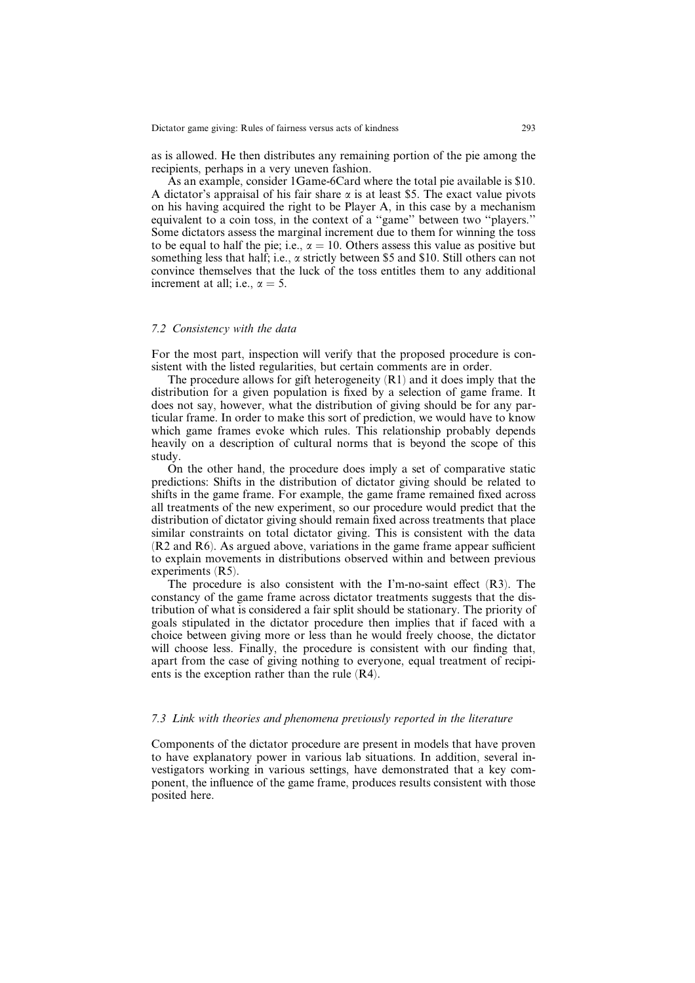as is allowed. He then distributes any remaining portion of the pie among the recipients, perhaps in a very uneven fashion.

As an example, consider 1Game-6Card where the total pie available is \$10. A dictator's appraisal of his fair share  $\alpha$  is at least \$5. The exact value pivots on his having acquired the right to be Player A, in this case by a mechanism equivalent to a coin toss, in the context of a "game" between two "players." Some dictators assess the marginal increment due to them for winning the toss to be equal to half the pie; i.e.,  $\alpha = 10$ . Others assess this value as positive but something less that half; i.e.,  $\alpha$  strictly between \$5 and \$10. Still others can not convince themselves that the luck of the toss entitles them to any additional increment at all; i.e.,  $\alpha = 5$ .

# 7.2 Consistency with the data

For the most part, inspection will verify that the proposed procedure is consistent with the listed regularities, but certain comments are in order.

The procedure allows for gift heterogeneity (R1) and it does imply that the distribution for a given population is fixed by a selection of game frame. It does not say, however, what the distribution of giving should be for any particular frame. In order to make this sort of prediction, we would have to know which game frames evoke which rules. This relationship probably depends heavily on a description of cultural norms that is beyond the scope of this study.

On the other hand, the procedure does imply a set of comparative static predictions: Shifts in the distribution of dictator giving should be related to shifts in the game frame. For example, the game frame remained fixed across all treatments of the new experiment, so our procedure would predict that the distribution of dictator giving should remain fixed across treatments that place similar constraints on total dictator giving. This is consistent with the data  $(R2 \text{ and } R6)$ . As argued above, variations in the game frame appear sufficient to explain movements in distributions observed within and between previous experiments (R5).

The procedure is also consistent with the  $\Gamma$ m-no-saint effect (R3). The constancy of the game frame across dictator treatments suggests that the distribution of what is considered a fair split should be stationary. The priority of goals stipulated in the dictator procedure then implies that if faced with a choice between giving more or less than he would freely choose, the dictator will choose less. Finally, the procedure is consistent with our finding that, apart from the case of giving nothing to everyone, equal treatment of recipients is the exception rather than the rule (R4).

# 7.3 Link with theories and phenomena previously reported in the literature

Components of the dictator procedure are present in models that have proven to have explanatory power in various lab situations. In addition, several investigators working in various settings, have demonstrated that a key component, the influence of the game frame, produces results consistent with those posited here.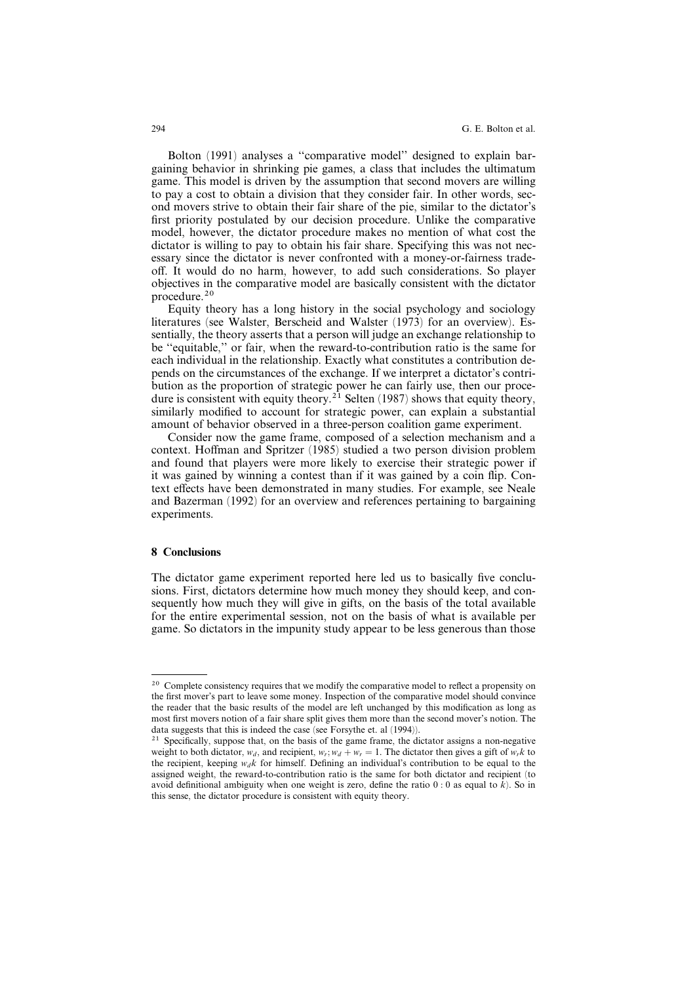Bolton (1991) analyses a "comparative model" designed to explain bargaining behavior in shrinking pie games, a class that includes the ultimatum game. This model is driven by the assumption that second movers are willing to pay a cost to obtain a division that they consider fair. In other words, second movers strive to obtain their fair share of the pie, similar to the dictator's first priority postulated by our decision procedure. Unlike the comparative model, however, the dictator procedure makes no mention of what cost the dictator is willing to pay to obtain his fair share. Specifying this was not necessary since the dictator is never confronted with a money-or-fairness tradeoff. It would do no harm, however, to add such considerations. So player objectives in the comparative model are basically consistent with the dictator procedure.<sup>20</sup>

Equity theory has a long history in the social psychology and sociology literatures (see Walster, Berscheid and Walster (1973) for an overview). Essentially, the theory asserts that a person will judge an exchange relationship to be "equitable," or fair, when the reward-to-contribution ratio is the same for each individual in the relationship. Exactly what constitutes a contribution depends on the circumstances of the exchange. If we interpret a dictator's contribution as the proportion of strategic power he can fairly use, then our procedure is consistent with equity theory.<sup>21</sup> Selten (1987) shows that equity theory, similarly modified to account for strategic power, can explain a substantial amount of behavior observed in a three-person coalition game experiment.

Consider now the game frame, composed of a selection mechanism and a context. Hoffman and Spritzer (1985) studied a two person division problem and found that players were more likely to exercise their strategic power if it was gained by winning a contest than if it was gained by a coin flip. Context effects have been demonstrated in many studies. For example, see Neale and Bazerman (1992) for an overview and references pertaining to bargaining experiments.

#### 8 Conclusions

The dictator game experiment reported here led us to basically five conclusions. First, dictators determine how much money they should keep, and consequently how much they will give in gifts, on the basis of the total available for the entire experimental session, not on the basis of what is available per game. So dictators in the impunity study appear to be less generous than those

<sup>&</sup>lt;sup>20</sup> Complete consistency requires that we modify the comparative model to reflect a propensity on the first mover's part to leave some money. Inspection of the comparative model should convince the reader that the basic results of the model are left unchanged by this modification as long as most first movers notion of a fair share split gives them more than the second mover's notion. The data suggests that this is indeed the case (see Forsythe et. al (1994)).

<sup>&</sup>lt;sup>21</sup> Specifically, suppose that, on the basis of the game frame, the dictator assigns a non-negative weight to both dictator,  $w_d$ , and recipient,  $w_r$ ;  $w_d + w_r = 1$ . The dictator then gives a gift of  $w_r k$  to the recipient, keeping  $w_d k$  for himself. Defining an individual's contribution to be equal to the assigned weight, the reward-to-contribution ratio is the same for both dictator and recipient (to avoid definitional ambiguity when one weight is zero, define the ratio  $0:0$  as equal to k). So in this sense, the dictator procedure is consistent with equity theory.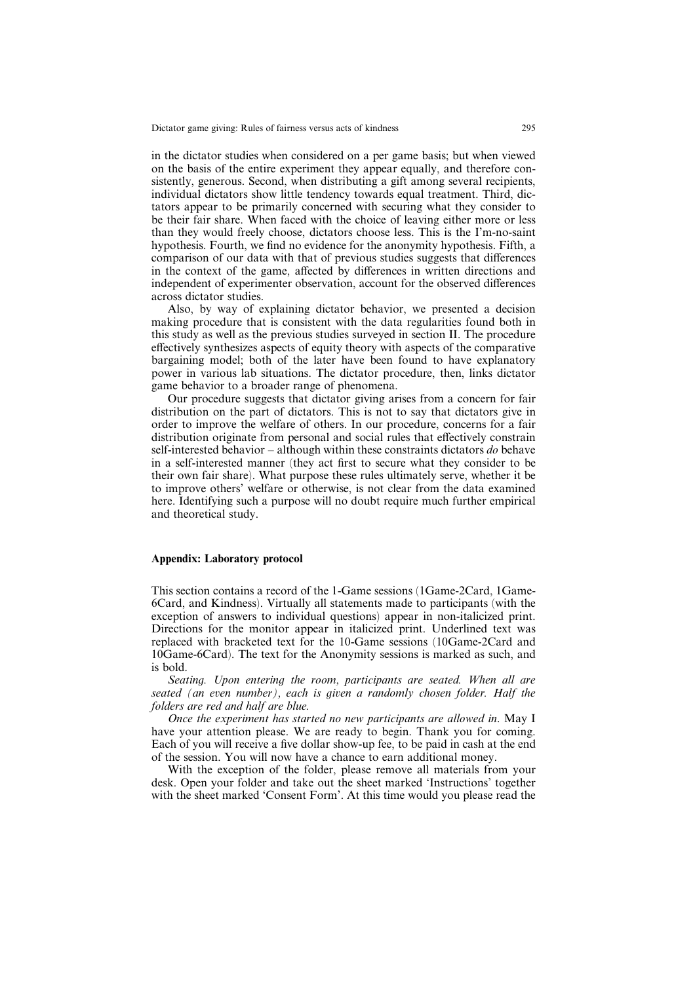in the dictator studies when considered on a per game basis; but when viewed on the basis of the entire experiment they appear equally, and therefore consistently, generous. Second, when distributing a gift among several recipients, individual dictators show little tendency towards equal treatment. Third, dictators appear to be primarily concerned with securing what they consider to be their fair share. When faced with the choice of leaving either more or less than they would freely choose, dictators choose less. This is the I'm-no-saint hypothesis. Fourth, we find no evidence for the anonymity hypothesis. Fifth, a comparison of our data with that of previous studies suggests that differences in the context of the game, affected by differences in written directions and independent of experimenter observation, account for the observed differences across dictator studies.

Also, by way of explaining dictator behavior, we presented a decision making procedure that is consistent with the data regularities found both in this study as well as the previous studies surveyed in section II. The procedure effectively synthesizes aspects of equity theory with aspects of the comparative bargaining model; both of the later have been found to have explanatory power in various lab situations. The dictator procedure, then, links dictator game behavior to a broader range of phenomena.

Our procedure suggests that dictator giving arises from a concern for fair distribution on the part of dictators. This is not to say that dictators give in order to improve the welfare of others. In our procedure, concerns for a fair distribution originate from personal and social rules that effectively constrain self-interested behavior  $-$  although within these constraints dictators  $do$  behave in a self-interested manner (they act first to secure what they consider to be their own fair share). What purpose these rules ultimately serve, whether it be to improve others' welfare or otherwise, is not clear from the data examined here. Identifying such a purpose will no doubt require much further empirical and theoretical study.

# Appendix: Laboratory protocol

This section contains a record of the 1-Game sessions (1Game-2Card, 1Game-6Card, and Kindness). Virtually all statements made to participants (with the exception of answers to individual questions) appear in non-italicized print. Directions for the monitor appear in italicized print. Underlined text was replaced with bracketed text for the 10-Game sessions (10Game-2Card and 10Game-6Card). The text for the Anonymity sessions is marked as such, and is bold.

Seating. Upon entering the room, participants are seated. When all are seated (an even number), each is given a randomly chosen folder. Half the folders are red and half are blue.

Once the experiment has started no new participants are allowed in. May I have your attention please. We are ready to begin. Thank you for coming. Each of you will receive a five dollar show-up fee, to be paid in cash at the end of the session. You will now have a chance to earn additional money.

With the exception of the folder, please remove all materials from your desk. Open your folder and take out the sheet marked `Instructions' together with the sheet marked 'Consent Form'. At this time would you please read the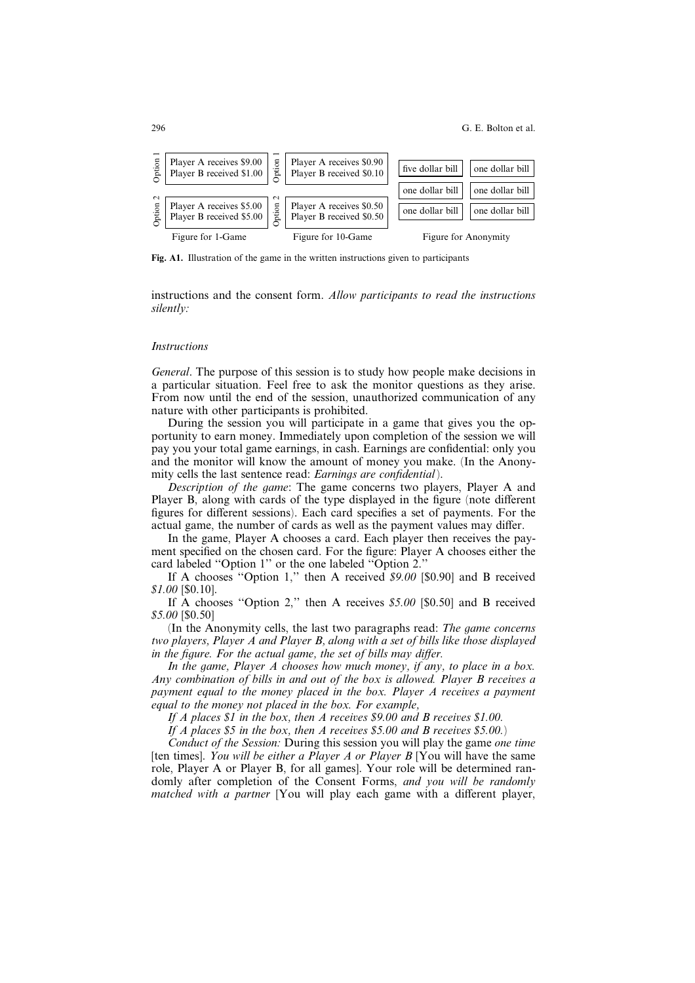296 G. E. Bolton et al.



Fig. A1. Illustration of the game in the written instructions given to participants

instructions and the consent form. Allow participants to read the instructions silently:

#### **Instructions**

General. The purpose of this session is to study how people make decisions in a particular situation. Feel free to ask the monitor questions as they arise. From now until the end of the session, unauthorized communication of any nature with other participants is prohibited.

During the session you will participate in a game that gives you the opportunity to earn money. Immediately upon completion of the session we will pay you your total game earnings, in cash. Earnings are confidential: only you and the monitor will know the amount of money you make. (In the Anonymity cells the last sentence read: *Earnings are confidential*).

Description of the game: The game concerns two players, Player A and Player B, along with cards of the type displayed in the figure (note different figures for different sessions). Each card specifies a set of payments. For the actual game, the number of cards as well as the payment values may differ.

In the game, Player A chooses a card. Each player then receives the payment specified on the chosen card. For the figure: Player A chooses either the card labeled "Option 1" or the one labeled "Option 2."

If A chooses "Option 1," then A received  $$9.00$  [\$0.90] and B received \$1.00 [\$0.10].

If A chooses "Option 2," then A receives  $$5.00$  [\$0.50] and B received \$5.00 [\$0.50]

(In the Anonymity cells, the last two paragraphs read: The game concerns two players, Player A and Player B, along with a set of bills like those displayed in the figure. For the actual game, the set of bills may differ.

In the game, Player A chooses how much money, if any, to place in a box. Any combination of bills in and out of the box is allowed. Player B receives a payment equal to the money placed in the box. Player A receives a payment equal to the money not placed in the box. For example,

If A places \$1 in the box, then A receives \$9.00 and B receives \$1.00.

If A places \$5 in the box, then A receives \$5.00 and B receives \$5.00.)

Conduct of the Session: During this session you will play the game one time [ten times]. You will be either a Player A or Player B [You will have the same role, Player A or Player B, for all games]. Your role will be determined randomly after completion of the Consent Forms, and you will be randomly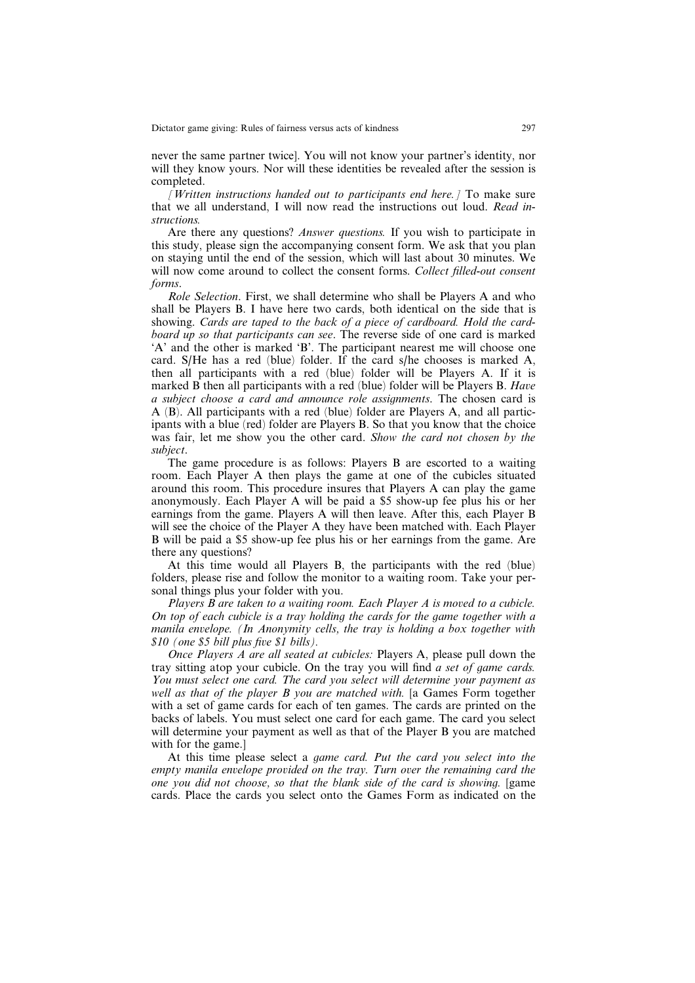never the same partner twice]. You will not know your partner's identity, nor will they know yours. Nor will these identities be revealed after the session is completed.

 $\int W$ ritten instructions handed out to participants end here.  $\int$  To make sure that we all understand, I will now read the instructions out loud. Read instructions.

Are there any questions? Answer questions. If you wish to participate in this study, please sign the accompanying consent form. We ask that you plan on staying until the end of the session, which will last about 30 minutes. We will now come around to collect the consent forms. Collect filled-out consent forms.

Role Selection. First, we shall determine who shall be Players A and who shall be Players B. I have here two cards, both identical on the side that is showing. Cards are taped to the back of a piece of cardboard. Hold the cardboard up so that participants can see. The reverse side of one card is marked `A' and the other is marked `B'. The participant nearest me will choose one card. S/He has a red (blue) folder. If the card s/he chooses is marked A, then all participants with a red (blue) folder will be Players A. If it is marked B then all participants with a red (blue) folder will be Players B. Have a subject choose a card and announce role assignments. The chosen card is A (B). All participants with a red (blue) folder are Players A, and all participants with a blue (red) folder are Players B. So that you know that the choice was fair, let me show you the other card. Show the card not chosen by the subject.

The game procedure is as follows: Players B are escorted to a waiting room. Each Player A then plays the game at one of the cubicles situated around this room. This procedure insures that Players A can play the game anonymously. Each Player A will be paid a \$5 show-up fee plus his or her earnings from the game. Players A will then leave. After this, each Player B will see the choice of the Player A they have been matched with. Each Player B will be paid a \$5 show-up fee plus his or her earnings from the game. Are there any questions?

At this time would all Players B, the participants with the red (blue) folders, please rise and follow the monitor to a waiting room. Take your personal things plus your folder with you.

Players B are taken to a waiting room. Each Player A is moved to a cubicle. On top of each cubicle is a tray holding the cards for the game together with a manila envelope. (In Anonymity cells, the tray is holding a box together with  $$10$  (one \$5 bill plus five \$1 bills).

Once Players A are all seated at cubicles: Players A, please pull down the tray sitting atop your cubicle. On the tray you will find *a set of game cards*. You must select one card. The card you select will determine your payment as well as that of the player B you are matched with. [a Games Form together with a set of game cards for each of ten games. The cards are printed on the backs of labels. You must select one card for each game. The card you select will determine your payment as well as that of the Player B you are matched with for the game.]

At this time please select a game card. Put the card you select into the empty manila envelope provided on the tray. Turn over the remaining card the one you did not choose, so that the blank side of the card is showing. [game cards. Place the cards you select onto the Games Form as indicated on the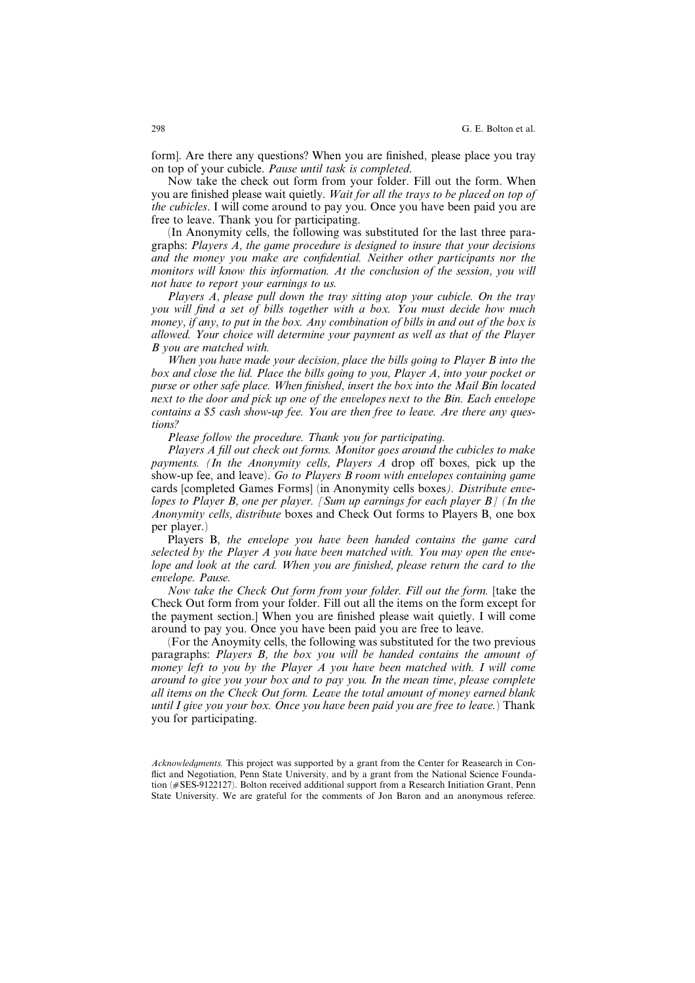form]. Are there any questions? When you are finished, please place you tray on top of your cubicle. Pause until task is completed.

Now take the check out form from your folder. Fill out the form. When you are finished please wait quietly. Wait for all the trays to be placed on top of the cubicles. I will come around to pay you. Once you have been paid you are free to leave. Thank you for participating.

(In Anonymity cells, the following was substituted for the last three paragraphs: Players A, the game procedure is designed to insure that your decisions and the money you make are confidential. Neither other participants nor the monitors will know this information. At the conclusion of the session, you will not have to report your earnings to us.

Players A, please pull down the tray sitting atop your cubicle. On the tray you will find a set of bills together with a box. You must decide how much money, if any, to put in the box. Any combination of bills in and out of the box is allowed. Your choice will determine your payment as well as that of the Player B you are matched with.

When you have made your decision, place the bills going to Player B into the box and close the lid. Place the bills going to you, Player A, into your pocket or purse or other safe place. When finished, insert the box into the Mail Bin located next to the door and pick up one of the envelopes next to the Bin. Each envelope contains a \$5 cash show-up fee. You are then free to leave. Are there any questions?

Please follow the procedure. Thank you for participating.

Players  $A$  fill out check out forms. Monitor goes around the cubicles to make payments. (In the Anonymity cells, Players  $\Lambda$  drop off boxes, pick up the show-up fee, and leave). Go to Players B room with envelopes containing game cards [completed Games Forms] (in Anonymity cells boxes). Distribute envelopes to Player B, one per player. [Sum up earnings for each player  $B$ ] (In the Anonymity cells, distribute boxes and Check Out forms to Players B, one box per player.)

Players B, the envelope you have been handed contains the game card selected by the Player A you have been matched with. You may open the envelope and look at the card. When you are finished, please return the card to the envelope. Pause.

Now take the Check Out form from your folder. Fill out the form. [take the Check Out form from your folder. Fill out all the items on the form except for the payment section.] When you are finished please wait quietly. I will come around to pay you. Once you have been paid you are free to leave.

(For the Anoymity cells, the following was substituted for the two previous paragraphs: Players B, the box you will be handed contains the amount of money left to you by the Player  $A$  you have been matched with. I will come around to give you your box and to pay you. In the mean time, please complete all items on the Check Out form. Leave the total amount of money earned blank until I give you your box. Once you have been paid you are free to leave.) Thank you for participating.

Acknowledgments. This project was supported by a grant from the Center for Reasearch in Con flict and Negotiation, Penn State University, and by a grant from the National Science Foundation (#SES-9122127). Bolton received additional support from a Research Initiation Grant, Penn State University. We are grateful for the comments of Jon Baron and an anonymous referee.